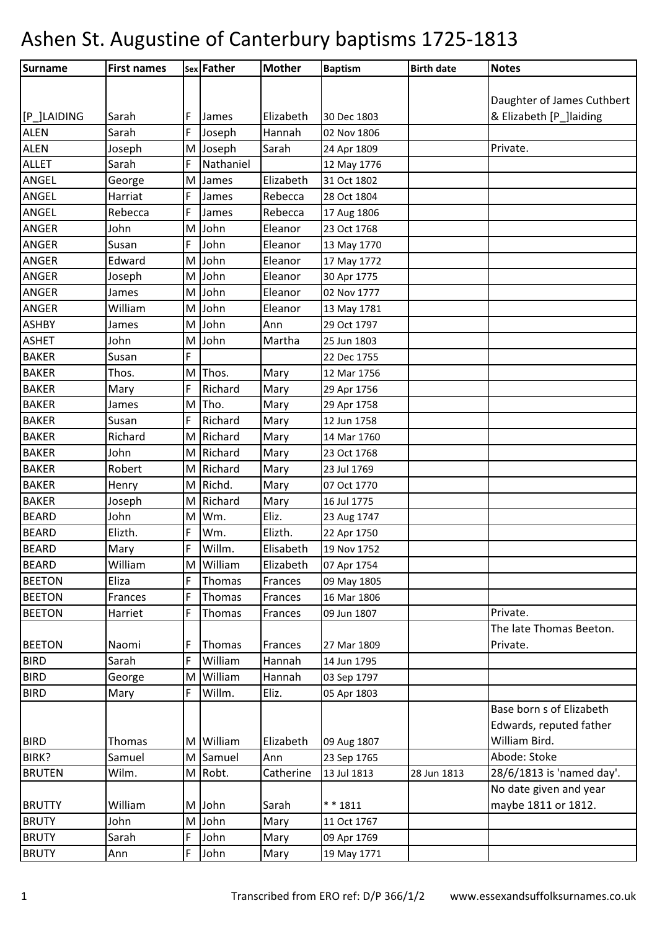| Daughter of James Cuthbert<br>[P_]LAIDING<br>Elizabeth<br>& Elizabeth [P ]laiding<br>Sarah<br>F<br>James<br>30 Dec 1803<br>F<br>Hannah<br><b>ALEN</b><br>Sarah<br>Joseph<br>02 Nov 1806<br><b>ALEN</b><br>Sarah<br>Joseph<br>Joseph<br>M<br>Private.<br>24 Apr 1809<br>F<br><b>ALLET</b><br>Nathaniel<br>Sarah<br>12 May 1776<br><b>ANGEL</b><br>Elizabeth<br>M<br>James<br>31 Oct 1802<br>George<br>ANGEL<br>Harriat<br>F<br>Rebecca<br>James<br>28 Oct 1804<br>ANGEL<br>Rebecca<br>F<br>Rebecca<br>James<br>17 Aug 1806<br>ANGER<br>John<br>John<br>M<br>Eleanor<br>23 Oct 1768<br>F<br>John<br>ANGER<br>Eleanor<br>Susan<br>13 May 1770<br><b>ANGER</b><br>Edward<br>John<br>M<br>Eleanor<br>17 May 1772<br>John<br>ANGER<br>Eleanor<br>Joseph<br>M<br>30 Apr 1775<br>ANGER<br>John<br>Eleanor<br>James<br>M<br>02 Nov 1777<br>ANGER<br>William<br>John<br>M<br>Eleanor<br>13 May 1781<br>John<br>Ann<br><b>ASHBY</b><br>M<br>James<br>29 Oct 1797<br>John<br><b>ASHET</b><br>John<br>M<br>Martha<br>25 Jun 1803<br>F<br><b>BAKER</b><br>Susan<br>22 Dec 1755<br>M Thos.<br>Mary<br>Thos.<br>12 Mar 1756<br>Richard<br><b>BAKER</b><br>F<br>Mary<br>Mary<br>29 Apr 1756<br>Tho.<br>Mary<br>M<br>James<br>29 Apr 1758<br>F<br>Richard<br><b>BAKER</b><br>Mary<br>Susan<br>12 Jun 1758<br>Richard<br><b>BAKER</b><br>Richard<br>Mary<br>M<br>14 Mar 1760<br>John<br>Richard<br>Mary<br>M<br>23 Oct 1768<br><b>BAKER</b><br>Robert<br>Richard<br>Mary<br>M<br>23 Jul 1769<br>Richd.<br><b>BAKER</b><br>Mary<br>M<br>Henry<br>07 Oct 1770<br>Richard<br><b>BAKER</b><br>Joseph<br>Mary<br>M<br>16 Jul 1775<br>John<br>Wm.<br>Eliz.<br>M<br>23 Aug 1747<br>F<br>Elizth.<br>Elizth.<br>Wm.<br>22 Apr 1750<br>F<br>Willm.<br>Mary<br>Elisabeth<br>19 Nov 1752<br>M William<br>William<br>Elizabeth<br>07 Apr 1754<br>Eliza<br>F<br>Thomas<br>Frances<br>09 May 1805<br>F<br>Frances<br>Thomas<br>Frances<br>16 Mar 1806<br>F<br>Thomas<br>Private.<br>Harriet<br>Frances<br>09 Jun 1807<br>The late Thomas Beeton.<br>Naomi<br>Thomas<br>Frances<br>27 Mar 1809<br>Private.<br>F<br>F<br>William<br>Hannah<br>Sarah<br>14 Jun 1795<br>William<br>Hannah<br>George<br>M<br>03 Sep 1797<br>Willm.<br>Eliz.<br>F<br>Mary<br>05 Apr 1803<br>Base born s of Elizabeth<br>Edwards, reputed father<br>William Bird.<br>M William<br>Thomas<br>Elizabeth<br>09 Aug 1807<br>Samuel<br>Abode: Stoke<br>Samuel<br>Ann<br>M<br>23 Sep 1765<br>28/6/1813 is 'named day'.<br>Wilm.<br>M Robt.<br>Catherine<br>13 Jul 1813<br>28 Jun 1813<br>No date given and year<br>William<br>M John<br>Sarah<br>maybe 1811 or 1812.<br>** 1811<br>John<br>M John<br>Mary<br>11 Oct 1767<br>John<br>Sarah<br>F<br>Mary<br>09 Apr 1769<br>F<br>John<br>Mary<br>19 May 1771<br>Ann | Surname       | <b>First names</b> | sex Father | <b>Mother</b> | <b>Baptism</b> | <b>Birth date</b> | <b>Notes</b> |
|---------------------------------------------------------------------------------------------------------------------------------------------------------------------------------------------------------------------------------------------------------------------------------------------------------------------------------------------------------------------------------------------------------------------------------------------------------------------------------------------------------------------------------------------------------------------------------------------------------------------------------------------------------------------------------------------------------------------------------------------------------------------------------------------------------------------------------------------------------------------------------------------------------------------------------------------------------------------------------------------------------------------------------------------------------------------------------------------------------------------------------------------------------------------------------------------------------------------------------------------------------------------------------------------------------------------------------------------------------------------------------------------------------------------------------------------------------------------------------------------------------------------------------------------------------------------------------------------------------------------------------------------------------------------------------------------------------------------------------------------------------------------------------------------------------------------------------------------------------------------------------------------------------------------------------------------------------------------------------------------------------------------------------------------------------------------------------------------------------------------------------------------------------------------------------------------------------------------------------------------------------------------------------------------------------------------------------------------------------------------------------------------------------------------------------------------------------------------------------------------------------------------------------------------------------------------------------------------------------------------------------------------------------------------------------------------------------------------------------------------------|---------------|--------------------|------------|---------------|----------------|-------------------|--------------|
|                                                                                                                                                                                                                                                                                                                                                                                                                                                                                                                                                                                                                                                                                                                                                                                                                                                                                                                                                                                                                                                                                                                                                                                                                                                                                                                                                                                                                                                                                                                                                                                                                                                                                                                                                                                                                                                                                                                                                                                                                                                                                                                                                                                                                                                                                                                                                                                                                                                                                                                                                                                                                                                                                                                                                   |               |                    |            |               |                |                   |              |
|                                                                                                                                                                                                                                                                                                                                                                                                                                                                                                                                                                                                                                                                                                                                                                                                                                                                                                                                                                                                                                                                                                                                                                                                                                                                                                                                                                                                                                                                                                                                                                                                                                                                                                                                                                                                                                                                                                                                                                                                                                                                                                                                                                                                                                                                                                                                                                                                                                                                                                                                                                                                                                                                                                                                                   |               |                    |            |               |                |                   |              |
|                                                                                                                                                                                                                                                                                                                                                                                                                                                                                                                                                                                                                                                                                                                                                                                                                                                                                                                                                                                                                                                                                                                                                                                                                                                                                                                                                                                                                                                                                                                                                                                                                                                                                                                                                                                                                                                                                                                                                                                                                                                                                                                                                                                                                                                                                                                                                                                                                                                                                                                                                                                                                                                                                                                                                   |               |                    |            |               |                |                   |              |
|                                                                                                                                                                                                                                                                                                                                                                                                                                                                                                                                                                                                                                                                                                                                                                                                                                                                                                                                                                                                                                                                                                                                                                                                                                                                                                                                                                                                                                                                                                                                                                                                                                                                                                                                                                                                                                                                                                                                                                                                                                                                                                                                                                                                                                                                                                                                                                                                                                                                                                                                                                                                                                                                                                                                                   |               |                    |            |               |                |                   |              |
|                                                                                                                                                                                                                                                                                                                                                                                                                                                                                                                                                                                                                                                                                                                                                                                                                                                                                                                                                                                                                                                                                                                                                                                                                                                                                                                                                                                                                                                                                                                                                                                                                                                                                                                                                                                                                                                                                                                                                                                                                                                                                                                                                                                                                                                                                                                                                                                                                                                                                                                                                                                                                                                                                                                                                   |               |                    |            |               |                |                   |              |
|                                                                                                                                                                                                                                                                                                                                                                                                                                                                                                                                                                                                                                                                                                                                                                                                                                                                                                                                                                                                                                                                                                                                                                                                                                                                                                                                                                                                                                                                                                                                                                                                                                                                                                                                                                                                                                                                                                                                                                                                                                                                                                                                                                                                                                                                                                                                                                                                                                                                                                                                                                                                                                                                                                                                                   |               |                    |            |               |                |                   |              |
|                                                                                                                                                                                                                                                                                                                                                                                                                                                                                                                                                                                                                                                                                                                                                                                                                                                                                                                                                                                                                                                                                                                                                                                                                                                                                                                                                                                                                                                                                                                                                                                                                                                                                                                                                                                                                                                                                                                                                                                                                                                                                                                                                                                                                                                                                                                                                                                                                                                                                                                                                                                                                                                                                                                                                   |               |                    |            |               |                |                   |              |
|                                                                                                                                                                                                                                                                                                                                                                                                                                                                                                                                                                                                                                                                                                                                                                                                                                                                                                                                                                                                                                                                                                                                                                                                                                                                                                                                                                                                                                                                                                                                                                                                                                                                                                                                                                                                                                                                                                                                                                                                                                                                                                                                                                                                                                                                                                                                                                                                                                                                                                                                                                                                                                                                                                                                                   |               |                    |            |               |                |                   |              |
|                                                                                                                                                                                                                                                                                                                                                                                                                                                                                                                                                                                                                                                                                                                                                                                                                                                                                                                                                                                                                                                                                                                                                                                                                                                                                                                                                                                                                                                                                                                                                                                                                                                                                                                                                                                                                                                                                                                                                                                                                                                                                                                                                                                                                                                                                                                                                                                                                                                                                                                                                                                                                                                                                                                                                   |               |                    |            |               |                |                   |              |
|                                                                                                                                                                                                                                                                                                                                                                                                                                                                                                                                                                                                                                                                                                                                                                                                                                                                                                                                                                                                                                                                                                                                                                                                                                                                                                                                                                                                                                                                                                                                                                                                                                                                                                                                                                                                                                                                                                                                                                                                                                                                                                                                                                                                                                                                                                                                                                                                                                                                                                                                                                                                                                                                                                                                                   |               |                    |            |               |                |                   |              |
|                                                                                                                                                                                                                                                                                                                                                                                                                                                                                                                                                                                                                                                                                                                                                                                                                                                                                                                                                                                                                                                                                                                                                                                                                                                                                                                                                                                                                                                                                                                                                                                                                                                                                                                                                                                                                                                                                                                                                                                                                                                                                                                                                                                                                                                                                                                                                                                                                                                                                                                                                                                                                                                                                                                                                   |               |                    |            |               |                |                   |              |
|                                                                                                                                                                                                                                                                                                                                                                                                                                                                                                                                                                                                                                                                                                                                                                                                                                                                                                                                                                                                                                                                                                                                                                                                                                                                                                                                                                                                                                                                                                                                                                                                                                                                                                                                                                                                                                                                                                                                                                                                                                                                                                                                                                                                                                                                                                                                                                                                                                                                                                                                                                                                                                                                                                                                                   |               |                    |            |               |                |                   |              |
|                                                                                                                                                                                                                                                                                                                                                                                                                                                                                                                                                                                                                                                                                                                                                                                                                                                                                                                                                                                                                                                                                                                                                                                                                                                                                                                                                                                                                                                                                                                                                                                                                                                                                                                                                                                                                                                                                                                                                                                                                                                                                                                                                                                                                                                                                                                                                                                                                                                                                                                                                                                                                                                                                                                                                   |               |                    |            |               |                |                   |              |
|                                                                                                                                                                                                                                                                                                                                                                                                                                                                                                                                                                                                                                                                                                                                                                                                                                                                                                                                                                                                                                                                                                                                                                                                                                                                                                                                                                                                                                                                                                                                                                                                                                                                                                                                                                                                                                                                                                                                                                                                                                                                                                                                                                                                                                                                                                                                                                                                                                                                                                                                                                                                                                                                                                                                                   |               |                    |            |               |                |                   |              |
|                                                                                                                                                                                                                                                                                                                                                                                                                                                                                                                                                                                                                                                                                                                                                                                                                                                                                                                                                                                                                                                                                                                                                                                                                                                                                                                                                                                                                                                                                                                                                                                                                                                                                                                                                                                                                                                                                                                                                                                                                                                                                                                                                                                                                                                                                                                                                                                                                                                                                                                                                                                                                                                                                                                                                   |               |                    |            |               |                |                   |              |
|                                                                                                                                                                                                                                                                                                                                                                                                                                                                                                                                                                                                                                                                                                                                                                                                                                                                                                                                                                                                                                                                                                                                                                                                                                                                                                                                                                                                                                                                                                                                                                                                                                                                                                                                                                                                                                                                                                                                                                                                                                                                                                                                                                                                                                                                                                                                                                                                                                                                                                                                                                                                                                                                                                                                                   |               |                    |            |               |                |                   |              |
|                                                                                                                                                                                                                                                                                                                                                                                                                                                                                                                                                                                                                                                                                                                                                                                                                                                                                                                                                                                                                                                                                                                                                                                                                                                                                                                                                                                                                                                                                                                                                                                                                                                                                                                                                                                                                                                                                                                                                                                                                                                                                                                                                                                                                                                                                                                                                                                                                                                                                                                                                                                                                                                                                                                                                   |               |                    |            |               |                |                   |              |
|                                                                                                                                                                                                                                                                                                                                                                                                                                                                                                                                                                                                                                                                                                                                                                                                                                                                                                                                                                                                                                                                                                                                                                                                                                                                                                                                                                                                                                                                                                                                                                                                                                                                                                                                                                                                                                                                                                                                                                                                                                                                                                                                                                                                                                                                                                                                                                                                                                                                                                                                                                                                                                                                                                                                                   |               |                    |            |               |                |                   |              |
|                                                                                                                                                                                                                                                                                                                                                                                                                                                                                                                                                                                                                                                                                                                                                                                                                                                                                                                                                                                                                                                                                                                                                                                                                                                                                                                                                                                                                                                                                                                                                                                                                                                                                                                                                                                                                                                                                                                                                                                                                                                                                                                                                                                                                                                                                                                                                                                                                                                                                                                                                                                                                                                                                                                                                   | <b>BAKER</b>  |                    |            |               |                |                   |              |
|                                                                                                                                                                                                                                                                                                                                                                                                                                                                                                                                                                                                                                                                                                                                                                                                                                                                                                                                                                                                                                                                                                                                                                                                                                                                                                                                                                                                                                                                                                                                                                                                                                                                                                                                                                                                                                                                                                                                                                                                                                                                                                                                                                                                                                                                                                                                                                                                                                                                                                                                                                                                                                                                                                                                                   |               |                    |            |               |                |                   |              |
|                                                                                                                                                                                                                                                                                                                                                                                                                                                                                                                                                                                                                                                                                                                                                                                                                                                                                                                                                                                                                                                                                                                                                                                                                                                                                                                                                                                                                                                                                                                                                                                                                                                                                                                                                                                                                                                                                                                                                                                                                                                                                                                                                                                                                                                                                                                                                                                                                                                                                                                                                                                                                                                                                                                                                   | <b>BAKER</b>  |                    |            |               |                |                   |              |
|                                                                                                                                                                                                                                                                                                                                                                                                                                                                                                                                                                                                                                                                                                                                                                                                                                                                                                                                                                                                                                                                                                                                                                                                                                                                                                                                                                                                                                                                                                                                                                                                                                                                                                                                                                                                                                                                                                                                                                                                                                                                                                                                                                                                                                                                                                                                                                                                                                                                                                                                                                                                                                                                                                                                                   |               |                    |            |               |                |                   |              |
|                                                                                                                                                                                                                                                                                                                                                                                                                                                                                                                                                                                                                                                                                                                                                                                                                                                                                                                                                                                                                                                                                                                                                                                                                                                                                                                                                                                                                                                                                                                                                                                                                                                                                                                                                                                                                                                                                                                                                                                                                                                                                                                                                                                                                                                                                                                                                                                                                                                                                                                                                                                                                                                                                                                                                   |               |                    |            |               |                |                   |              |
|                                                                                                                                                                                                                                                                                                                                                                                                                                                                                                                                                                                                                                                                                                                                                                                                                                                                                                                                                                                                                                                                                                                                                                                                                                                                                                                                                                                                                                                                                                                                                                                                                                                                                                                                                                                                                                                                                                                                                                                                                                                                                                                                                                                                                                                                                                                                                                                                                                                                                                                                                                                                                                                                                                                                                   | <b>BAKER</b>  |                    |            |               |                |                   |              |
|                                                                                                                                                                                                                                                                                                                                                                                                                                                                                                                                                                                                                                                                                                                                                                                                                                                                                                                                                                                                                                                                                                                                                                                                                                                                                                                                                                                                                                                                                                                                                                                                                                                                                                                                                                                                                                                                                                                                                                                                                                                                                                                                                                                                                                                                                                                                                                                                                                                                                                                                                                                                                                                                                                                                                   |               |                    |            |               |                |                   |              |
|                                                                                                                                                                                                                                                                                                                                                                                                                                                                                                                                                                                                                                                                                                                                                                                                                                                                                                                                                                                                                                                                                                                                                                                                                                                                                                                                                                                                                                                                                                                                                                                                                                                                                                                                                                                                                                                                                                                                                                                                                                                                                                                                                                                                                                                                                                                                                                                                                                                                                                                                                                                                                                                                                                                                                   |               |                    |            |               |                |                   |              |
|                                                                                                                                                                                                                                                                                                                                                                                                                                                                                                                                                                                                                                                                                                                                                                                                                                                                                                                                                                                                                                                                                                                                                                                                                                                                                                                                                                                                                                                                                                                                                                                                                                                                                                                                                                                                                                                                                                                                                                                                                                                                                                                                                                                                                                                                                                                                                                                                                                                                                                                                                                                                                                                                                                                                                   |               |                    |            |               |                |                   |              |
|                                                                                                                                                                                                                                                                                                                                                                                                                                                                                                                                                                                                                                                                                                                                                                                                                                                                                                                                                                                                                                                                                                                                                                                                                                                                                                                                                                                                                                                                                                                                                                                                                                                                                                                                                                                                                                                                                                                                                                                                                                                                                                                                                                                                                                                                                                                                                                                                                                                                                                                                                                                                                                                                                                                                                   | <b>BEARD</b>  |                    |            |               |                |                   |              |
|                                                                                                                                                                                                                                                                                                                                                                                                                                                                                                                                                                                                                                                                                                                                                                                                                                                                                                                                                                                                                                                                                                                                                                                                                                                                                                                                                                                                                                                                                                                                                                                                                                                                                                                                                                                                                                                                                                                                                                                                                                                                                                                                                                                                                                                                                                                                                                                                                                                                                                                                                                                                                                                                                                                                                   | <b>BEARD</b>  |                    |            |               |                |                   |              |
|                                                                                                                                                                                                                                                                                                                                                                                                                                                                                                                                                                                                                                                                                                                                                                                                                                                                                                                                                                                                                                                                                                                                                                                                                                                                                                                                                                                                                                                                                                                                                                                                                                                                                                                                                                                                                                                                                                                                                                                                                                                                                                                                                                                                                                                                                                                                                                                                                                                                                                                                                                                                                                                                                                                                                   | <b>BEARD</b>  |                    |            |               |                |                   |              |
|                                                                                                                                                                                                                                                                                                                                                                                                                                                                                                                                                                                                                                                                                                                                                                                                                                                                                                                                                                                                                                                                                                                                                                                                                                                                                                                                                                                                                                                                                                                                                                                                                                                                                                                                                                                                                                                                                                                                                                                                                                                                                                                                                                                                                                                                                                                                                                                                                                                                                                                                                                                                                                                                                                                                                   | <b>BEARD</b>  |                    |            |               |                |                   |              |
|                                                                                                                                                                                                                                                                                                                                                                                                                                                                                                                                                                                                                                                                                                                                                                                                                                                                                                                                                                                                                                                                                                                                                                                                                                                                                                                                                                                                                                                                                                                                                                                                                                                                                                                                                                                                                                                                                                                                                                                                                                                                                                                                                                                                                                                                                                                                                                                                                                                                                                                                                                                                                                                                                                                                                   | <b>BEETON</b> |                    |            |               |                |                   |              |
|                                                                                                                                                                                                                                                                                                                                                                                                                                                                                                                                                                                                                                                                                                                                                                                                                                                                                                                                                                                                                                                                                                                                                                                                                                                                                                                                                                                                                                                                                                                                                                                                                                                                                                                                                                                                                                                                                                                                                                                                                                                                                                                                                                                                                                                                                                                                                                                                                                                                                                                                                                                                                                                                                                                                                   | <b>BEETON</b> |                    |            |               |                |                   |              |
|                                                                                                                                                                                                                                                                                                                                                                                                                                                                                                                                                                                                                                                                                                                                                                                                                                                                                                                                                                                                                                                                                                                                                                                                                                                                                                                                                                                                                                                                                                                                                                                                                                                                                                                                                                                                                                                                                                                                                                                                                                                                                                                                                                                                                                                                                                                                                                                                                                                                                                                                                                                                                                                                                                                                                   | <b>BEETON</b> |                    |            |               |                |                   |              |
|                                                                                                                                                                                                                                                                                                                                                                                                                                                                                                                                                                                                                                                                                                                                                                                                                                                                                                                                                                                                                                                                                                                                                                                                                                                                                                                                                                                                                                                                                                                                                                                                                                                                                                                                                                                                                                                                                                                                                                                                                                                                                                                                                                                                                                                                                                                                                                                                                                                                                                                                                                                                                                                                                                                                                   |               |                    |            |               |                |                   |              |
|                                                                                                                                                                                                                                                                                                                                                                                                                                                                                                                                                                                                                                                                                                                                                                                                                                                                                                                                                                                                                                                                                                                                                                                                                                                                                                                                                                                                                                                                                                                                                                                                                                                                                                                                                                                                                                                                                                                                                                                                                                                                                                                                                                                                                                                                                                                                                                                                                                                                                                                                                                                                                                                                                                                                                   | <b>BEETON</b> |                    |            |               |                |                   |              |
|                                                                                                                                                                                                                                                                                                                                                                                                                                                                                                                                                                                                                                                                                                                                                                                                                                                                                                                                                                                                                                                                                                                                                                                                                                                                                                                                                                                                                                                                                                                                                                                                                                                                                                                                                                                                                                                                                                                                                                                                                                                                                                                                                                                                                                                                                                                                                                                                                                                                                                                                                                                                                                                                                                                                                   | <b>BIRD</b>   |                    |            |               |                |                   |              |
|                                                                                                                                                                                                                                                                                                                                                                                                                                                                                                                                                                                                                                                                                                                                                                                                                                                                                                                                                                                                                                                                                                                                                                                                                                                                                                                                                                                                                                                                                                                                                                                                                                                                                                                                                                                                                                                                                                                                                                                                                                                                                                                                                                                                                                                                                                                                                                                                                                                                                                                                                                                                                                                                                                                                                   | <b>BIRD</b>   |                    |            |               |                |                   |              |
|                                                                                                                                                                                                                                                                                                                                                                                                                                                                                                                                                                                                                                                                                                                                                                                                                                                                                                                                                                                                                                                                                                                                                                                                                                                                                                                                                                                                                                                                                                                                                                                                                                                                                                                                                                                                                                                                                                                                                                                                                                                                                                                                                                                                                                                                                                                                                                                                                                                                                                                                                                                                                                                                                                                                                   | <b>BIRD</b>   |                    |            |               |                |                   |              |
|                                                                                                                                                                                                                                                                                                                                                                                                                                                                                                                                                                                                                                                                                                                                                                                                                                                                                                                                                                                                                                                                                                                                                                                                                                                                                                                                                                                                                                                                                                                                                                                                                                                                                                                                                                                                                                                                                                                                                                                                                                                                                                                                                                                                                                                                                                                                                                                                                                                                                                                                                                                                                                                                                                                                                   |               |                    |            |               |                |                   |              |
|                                                                                                                                                                                                                                                                                                                                                                                                                                                                                                                                                                                                                                                                                                                                                                                                                                                                                                                                                                                                                                                                                                                                                                                                                                                                                                                                                                                                                                                                                                                                                                                                                                                                                                                                                                                                                                                                                                                                                                                                                                                                                                                                                                                                                                                                                                                                                                                                                                                                                                                                                                                                                                                                                                                                                   |               |                    |            |               |                |                   |              |
|                                                                                                                                                                                                                                                                                                                                                                                                                                                                                                                                                                                                                                                                                                                                                                                                                                                                                                                                                                                                                                                                                                                                                                                                                                                                                                                                                                                                                                                                                                                                                                                                                                                                                                                                                                                                                                                                                                                                                                                                                                                                                                                                                                                                                                                                                                                                                                                                                                                                                                                                                                                                                                                                                                                                                   | <b>BIRD</b>   |                    |            |               |                |                   |              |
|                                                                                                                                                                                                                                                                                                                                                                                                                                                                                                                                                                                                                                                                                                                                                                                                                                                                                                                                                                                                                                                                                                                                                                                                                                                                                                                                                                                                                                                                                                                                                                                                                                                                                                                                                                                                                                                                                                                                                                                                                                                                                                                                                                                                                                                                                                                                                                                                                                                                                                                                                                                                                                                                                                                                                   | BIRK?         |                    |            |               |                |                   |              |
|                                                                                                                                                                                                                                                                                                                                                                                                                                                                                                                                                                                                                                                                                                                                                                                                                                                                                                                                                                                                                                                                                                                                                                                                                                                                                                                                                                                                                                                                                                                                                                                                                                                                                                                                                                                                                                                                                                                                                                                                                                                                                                                                                                                                                                                                                                                                                                                                                                                                                                                                                                                                                                                                                                                                                   | <b>BRUTEN</b> |                    |            |               |                |                   |              |
|                                                                                                                                                                                                                                                                                                                                                                                                                                                                                                                                                                                                                                                                                                                                                                                                                                                                                                                                                                                                                                                                                                                                                                                                                                                                                                                                                                                                                                                                                                                                                                                                                                                                                                                                                                                                                                                                                                                                                                                                                                                                                                                                                                                                                                                                                                                                                                                                                                                                                                                                                                                                                                                                                                                                                   |               |                    |            |               |                |                   |              |
|                                                                                                                                                                                                                                                                                                                                                                                                                                                                                                                                                                                                                                                                                                                                                                                                                                                                                                                                                                                                                                                                                                                                                                                                                                                                                                                                                                                                                                                                                                                                                                                                                                                                                                                                                                                                                                                                                                                                                                                                                                                                                                                                                                                                                                                                                                                                                                                                                                                                                                                                                                                                                                                                                                                                                   | <b>BRUTTY</b> |                    |            |               |                |                   |              |
|                                                                                                                                                                                                                                                                                                                                                                                                                                                                                                                                                                                                                                                                                                                                                                                                                                                                                                                                                                                                                                                                                                                                                                                                                                                                                                                                                                                                                                                                                                                                                                                                                                                                                                                                                                                                                                                                                                                                                                                                                                                                                                                                                                                                                                                                                                                                                                                                                                                                                                                                                                                                                                                                                                                                                   | <b>BRUTY</b>  |                    |            |               |                |                   |              |
|                                                                                                                                                                                                                                                                                                                                                                                                                                                                                                                                                                                                                                                                                                                                                                                                                                                                                                                                                                                                                                                                                                                                                                                                                                                                                                                                                                                                                                                                                                                                                                                                                                                                                                                                                                                                                                                                                                                                                                                                                                                                                                                                                                                                                                                                                                                                                                                                                                                                                                                                                                                                                                                                                                                                                   | <b>BRUTY</b>  |                    |            |               |                |                   |              |
|                                                                                                                                                                                                                                                                                                                                                                                                                                                                                                                                                                                                                                                                                                                                                                                                                                                                                                                                                                                                                                                                                                                                                                                                                                                                                                                                                                                                                                                                                                                                                                                                                                                                                                                                                                                                                                                                                                                                                                                                                                                                                                                                                                                                                                                                                                                                                                                                                                                                                                                                                                                                                                                                                                                                                   | <b>BRUTY</b>  |                    |            |               |                |                   |              |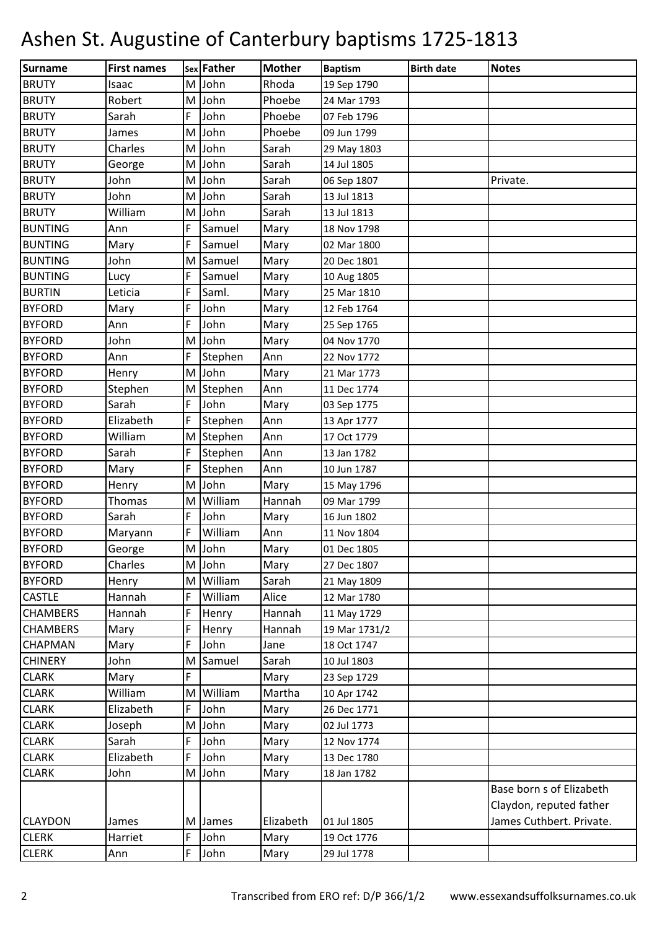| <b>Surname</b>  | <b>First names</b> |           | sex Father | <b>Mother</b> | <b>Baptism</b> | <b>Birth date</b> | <b>Notes</b>             |
|-----------------|--------------------|-----------|------------|---------------|----------------|-------------------|--------------------------|
| <b>BRUTY</b>    | Isaac              | M         | John       | Rhoda         | 19 Sep 1790    |                   |                          |
| <b>BRUTY</b>    | Robert             | M         | John       | Phoebe        | 24 Mar 1793    |                   |                          |
| <b>BRUTY</b>    | Sarah              | F         | John       | Phoebe        | 07 Feb 1796    |                   |                          |
| <b>BRUTY</b>    | James              | M         | John       | Phoebe        | 09 Jun 1799    |                   |                          |
| <b>BRUTY</b>    | Charles            | M         | John       | Sarah         | 29 May 1803    |                   |                          |
| <b>BRUTY</b>    | George             | M         | John       | Sarah         | 14 Jul 1805    |                   |                          |
| <b>BRUTY</b>    | John               | M         | John       | Sarah         | 06 Sep 1807    |                   | Private.                 |
| <b>BRUTY</b>    | John               | M         | John       | Sarah         | 13 Jul 1813    |                   |                          |
| <b>BRUTY</b>    | William            | M         | John       | Sarah         | 13 Jul 1813    |                   |                          |
| <b>BUNTING</b>  | Ann                | F         | Samuel     | Mary          | 18 Nov 1798    |                   |                          |
| <b>BUNTING</b>  | Mary               | F         | Samuel     | Mary          | 02 Mar 1800    |                   |                          |
| <b>BUNTING</b>  | John               | M         | Samuel     | Mary          | 20 Dec 1801    |                   |                          |
| <b>BUNTING</b>  | Lucy               | F         | Samuel     | Mary          | 10 Aug 1805    |                   |                          |
| <b>BURTIN</b>   | Leticia            | F         | Saml.      | Mary          | 25 Mar 1810    |                   |                          |
| <b>BYFORD</b>   | Mary               | F         | John       | Mary          | 12 Feb 1764    |                   |                          |
| <b>BYFORD</b>   | Ann                | F         | John       | Mary          | 25 Sep 1765    |                   |                          |
| <b>BYFORD</b>   | John               | M         | John       | Mary          | 04 Nov 1770    |                   |                          |
| <b>BYFORD</b>   | Ann                | F         | Stephen    | Ann           | 22 Nov 1772    |                   |                          |
| <b>BYFORD</b>   | Henry              | M         | John       | Mary          | 21 Mar 1773    |                   |                          |
| <b>BYFORD</b>   | Stephen            | M         | Stephen    | Ann           | 11 Dec 1774    |                   |                          |
| <b>BYFORD</b>   | Sarah              | F         | John       | Mary          | 03 Sep 1775    |                   |                          |
| <b>BYFORD</b>   | Elizabeth          | F         | Stephen    | Ann           | 13 Apr 1777    |                   |                          |
| <b>BYFORD</b>   | William            | M         | Stephen    | Ann           | 17 Oct 1779    |                   |                          |
| <b>BYFORD</b>   | Sarah              | F         | Stephen    | Ann           | 13 Jan 1782    |                   |                          |
| <b>BYFORD</b>   | Mary               | F         | Stephen    | Ann           | 10 Jun 1787    |                   |                          |
| <b>BYFORD</b>   | Henry              | M         | John       | Mary          | 15 May 1796    |                   |                          |
| <b>BYFORD</b>   | Thomas             | M         | William    | Hannah        | 09 Mar 1799    |                   |                          |
| <b>BYFORD</b>   | Sarah              | F         | John       | Mary          | 16 Jun 1802    |                   |                          |
| <b>BYFORD</b>   | Maryann            | F         | William    | Ann           | 11 Nov 1804    |                   |                          |
| <b>BYFORD</b>   | George             | ${\sf M}$ | John       | Mary          | 01 Dec 1805    |                   |                          |
| <b>BYFORD</b>   | Charles            | M         | John       | Mary          | 27 Dec 1807    |                   |                          |
| <b>BYFORD</b>   | Henry              | M         | William    | Sarah         | 21 May 1809    |                   |                          |
| <b>CASTLE</b>   | Hannah             | F         | William    | Alice         | 12 Mar 1780    |                   |                          |
| <b>CHAMBERS</b> | Hannah             | F         | Henry      | Hannah        | 11 May 1729    |                   |                          |
| <b>CHAMBERS</b> | Mary               | F         | Henry      | Hannah        | 19 Mar 1731/2  |                   |                          |
| <b>CHAPMAN</b>  | Mary               | F         | John       | Jane          | 18 Oct 1747    |                   |                          |
| <b>CHINERY</b>  | John               | M         | Samuel     | Sarah         | 10 Jul 1803    |                   |                          |
| <b>CLARK</b>    | Mary               | F         |            | Mary          | 23 Sep 1729    |                   |                          |
| <b>CLARK</b>    | William            | M         | William    | Martha        | 10 Apr 1742    |                   |                          |
| <b>CLARK</b>    | Elizabeth          | F         | John       | Mary          | 26 Dec 1771    |                   |                          |
| <b>CLARK</b>    | Joseph             | M         | John       | Mary          | 02 Jul 1773    |                   |                          |
| <b>CLARK</b>    | Sarah              | F         | John       | Mary          | 12 Nov 1774    |                   |                          |
| <b>CLARK</b>    | Elizabeth          | F         | John       | Mary          | 13 Dec 1780    |                   |                          |
| <b>CLARK</b>    | John               | M         | John       | Mary          | 18 Jan 1782    |                   |                          |
|                 |                    |           |            |               |                |                   | Base born s of Elizabeth |
|                 |                    |           |            |               |                |                   | Claydon, reputed father  |
| <b>CLAYDON</b>  | James              | M         | James      | Elizabeth     | 01 Jul 1805    |                   | James Cuthbert. Private. |
| <b>CLERK</b>    | Harriet            | F         | John       | Mary          | 19 Oct 1776    |                   |                          |
| <b>CLERK</b>    | Ann                | F         | John       | Mary          | 29 Jul 1778    |                   |                          |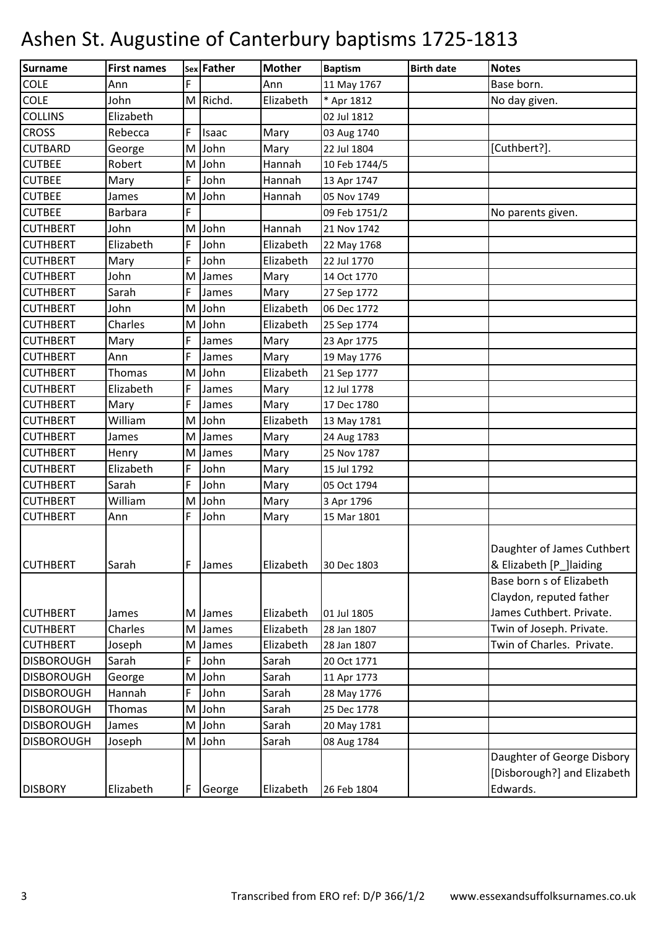| <b>Surname</b>    | <b>First names</b> |   | sex Father | <b>Mother</b> | <b>Baptism</b> | <b>Birth date</b> | <b>Notes</b>                                                                      |
|-------------------|--------------------|---|------------|---------------|----------------|-------------------|-----------------------------------------------------------------------------------|
| <b>COLE</b>       | Ann                | F |            | Ann           | 11 May 1767    |                   | Base born.                                                                        |
| <b>COLE</b>       | John               | M | Richd.     | Elizabeth     | * Apr 1812     |                   | No day given.                                                                     |
| <b>COLLINS</b>    | Elizabeth          |   |            |               | 02 Jul 1812    |                   |                                                                                   |
| <b>CROSS</b>      | Rebecca            | F | Isaac      | Mary          | 03 Aug 1740    |                   |                                                                                   |
| <b>CUTBARD</b>    | George             | M | John       | Mary          | 22 Jul 1804    |                   | [Cuthbert?].                                                                      |
| <b>CUTBEE</b>     | Robert             | M | John       | Hannah        | 10 Feb 1744/5  |                   |                                                                                   |
| <b>CUTBEE</b>     | Mary               | F | John       | Hannah        | 13 Apr 1747    |                   |                                                                                   |
| <b>CUTBEE</b>     | James              | M | John       | Hannah        | 05 Nov 1749    |                   |                                                                                   |
| <b>CUTBEE</b>     | <b>Barbara</b>     | F |            |               | 09 Feb 1751/2  |                   | No parents given.                                                                 |
| <b>CUTHBERT</b>   | John               | M | John       | Hannah        | 21 Nov 1742    |                   |                                                                                   |
| <b>CUTHBERT</b>   | Elizabeth          | F | John       | Elizabeth     | 22 May 1768    |                   |                                                                                   |
| <b>CUTHBERT</b>   | Mary               | F | John       | Elizabeth     | 22 Jul 1770    |                   |                                                                                   |
| <b>CUTHBERT</b>   | John               | M | James      | Mary          | 14 Oct 1770    |                   |                                                                                   |
| <b>CUTHBERT</b>   | Sarah              | F | James      | Mary          | 27 Sep 1772    |                   |                                                                                   |
| <b>CUTHBERT</b>   | John               | M | John       | Elizabeth     | 06 Dec 1772    |                   |                                                                                   |
| <b>CUTHBERT</b>   | Charles            | M | John       | Elizabeth     | 25 Sep 1774    |                   |                                                                                   |
| <b>CUTHBERT</b>   | Mary               | F | James      | Mary          | 23 Apr 1775    |                   |                                                                                   |
| <b>CUTHBERT</b>   | Ann                | F | James      | Mary          | 19 May 1776    |                   |                                                                                   |
| <b>CUTHBERT</b>   | Thomas             | M | John       | Elizabeth     | 21 Sep 1777    |                   |                                                                                   |
| <b>CUTHBERT</b>   | Elizabeth          | F | James      | Mary          | 12 Jul 1778    |                   |                                                                                   |
| <b>CUTHBERT</b>   | Mary               | F | James      | Mary          | 17 Dec 1780    |                   |                                                                                   |
| <b>CUTHBERT</b>   | William            | M | John       | Elizabeth     | 13 May 1781    |                   |                                                                                   |
| <b>CUTHBERT</b>   | James              | M | James      | Mary          | 24 Aug 1783    |                   |                                                                                   |
| <b>CUTHBERT</b>   | Henry              | M | James      | Mary          | 25 Nov 1787    |                   |                                                                                   |
| <b>CUTHBERT</b>   | Elizabeth          | F | John       | Mary          | 15 Jul 1792    |                   |                                                                                   |
| <b>CUTHBERT</b>   | Sarah              | F | John       | Mary          | 05 Oct 1794    |                   |                                                                                   |
| <b>CUTHBERT</b>   | William            | M | John       | Mary          | 3 Apr 1796     |                   |                                                                                   |
| <b>CUTHBERT</b>   | Ann                | F | John       | Mary          | 15 Mar 1801    |                   |                                                                                   |
| <b>CUTHBERT</b>   | Sarah              | F | James      | Elizabeth     | 30 Dec 1803    |                   | Daughter of James Cuthbert<br>& Elizabeth [P_]laiding<br>Base born s of Elizabeth |
| <b>CUTHBERT</b>   | James              | M | James      | Elizabeth     | 01 Jul 1805    |                   | Claydon, reputed father<br>James Cuthbert. Private.                               |
| <b>CUTHBERT</b>   | Charles            | M | James      | Elizabeth     | 28 Jan 1807    |                   | Twin of Joseph. Private.                                                          |
| <b>CUTHBERT</b>   | Joseph             | M | James      | Elizabeth     | 28 Jan 1807    |                   | Twin of Charles. Private.                                                         |
| <b>DISBOROUGH</b> | Sarah              | F | John       | Sarah         | 20 Oct 1771    |                   |                                                                                   |
| <b>DISBOROUGH</b> | George             | M | John       | Sarah         | 11 Apr 1773    |                   |                                                                                   |
| <b>DISBOROUGH</b> | Hannah             | F | John       | Sarah         | 28 May 1776    |                   |                                                                                   |
| <b>DISBOROUGH</b> | Thomas             | M | John       | Sarah         | 25 Dec 1778    |                   |                                                                                   |
| <b>DISBOROUGH</b> | James              | M | John       | Sarah         | 20 May 1781    |                   |                                                                                   |
| <b>DISBOROUGH</b> | Joseph             | M | John       | Sarah         | 08 Aug 1784    |                   |                                                                                   |
| <b>DISBORY</b>    | Elizabeth          | F | George     | Elizabeth     | 26 Feb 1804    |                   | Daughter of George Disbory<br>[Disborough?] and Elizabeth<br>Edwards.             |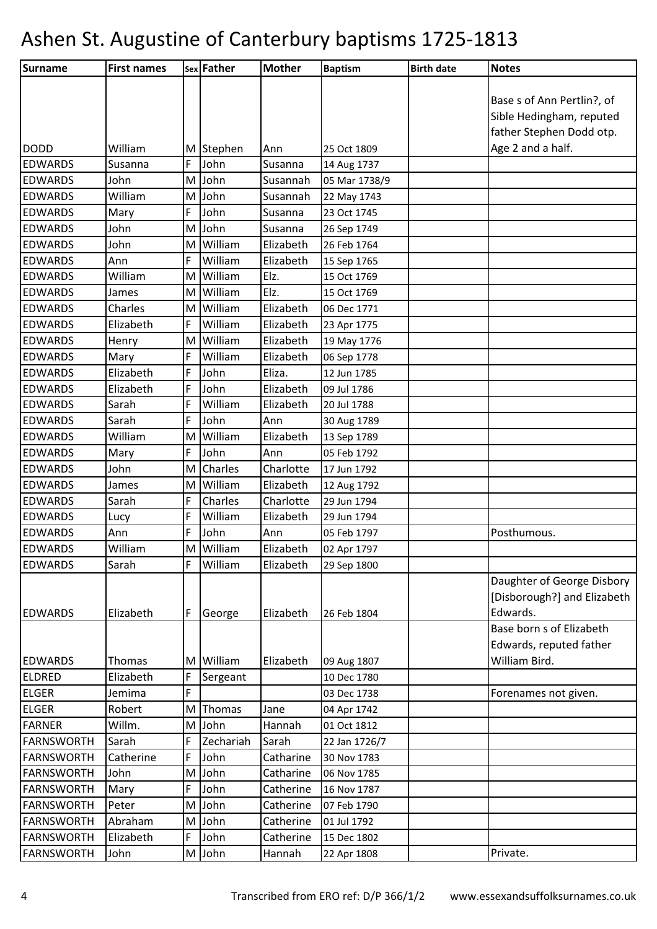| Surname           | <b>First names</b> |   | sex Father | <b>Mother</b> | <b>Baptism</b> | <b>Birth date</b> | <b>Notes</b>                |
|-------------------|--------------------|---|------------|---------------|----------------|-------------------|-----------------------------|
|                   |                    |   |            |               |                |                   |                             |
|                   |                    |   |            |               |                |                   | Base s of Ann Pertlin?, of  |
|                   |                    |   |            |               |                |                   | Sible Hedingham, reputed    |
|                   |                    |   |            |               |                |                   | father Stephen Dodd otp.    |
| <b>DODD</b>       | William            | M | Stephen    | Ann           | 25 Oct 1809    |                   | Age 2 and a half.           |
| <b>EDWARDS</b>    | Susanna            | F | John       | Susanna       | 14 Aug 1737    |                   |                             |
| <b>EDWARDS</b>    | John               | M | John       | Susannah      | 05 Mar 1738/9  |                   |                             |
| <b>EDWARDS</b>    | William            | M | John       | Susannah      | 22 May 1743    |                   |                             |
| <b>EDWARDS</b>    | Mary               | F | John       | Susanna       | 23 Oct 1745    |                   |                             |
| <b>EDWARDS</b>    | John               | M | John       | Susanna       | 26 Sep 1749    |                   |                             |
| <b>EDWARDS</b>    | John               | M | William    | Elizabeth     | 26 Feb 1764    |                   |                             |
| <b>EDWARDS</b>    | Ann                | F | William    | Elizabeth     | 15 Sep 1765    |                   |                             |
| <b>EDWARDS</b>    | William            | M | William    | Elz.          | 15 Oct 1769    |                   |                             |
| <b>EDWARDS</b>    | James              | M | William    | Elz.          | 15 Oct 1769    |                   |                             |
| <b>EDWARDS</b>    | Charles            | M | William    | Elizabeth     | 06 Dec 1771    |                   |                             |
| <b>EDWARDS</b>    | Elizabeth          | F | William    | Elizabeth     | 23 Apr 1775    |                   |                             |
| <b>EDWARDS</b>    | Henry              | M | William    | Elizabeth     | 19 May 1776    |                   |                             |
| <b>EDWARDS</b>    | Mary               | F | William    | Elizabeth     | 06 Sep 1778    |                   |                             |
| <b>EDWARDS</b>    | Elizabeth          | F | John       | Eliza.        | 12 Jun 1785    |                   |                             |
| <b>EDWARDS</b>    | Elizabeth          | F | John       | Elizabeth     | 09 Jul 1786    |                   |                             |
| <b>EDWARDS</b>    | Sarah              | F | William    | Elizabeth     | 20 Jul 1788    |                   |                             |
| <b>EDWARDS</b>    | Sarah              | F | John       | Ann           | 30 Aug 1789    |                   |                             |
| <b>EDWARDS</b>    | William            | M | William    | Elizabeth     | 13 Sep 1789    |                   |                             |
| <b>EDWARDS</b>    | Mary               | F | John       | Ann           | 05 Feb 1792    |                   |                             |
| <b>EDWARDS</b>    | John               | M | Charles    | Charlotte     | 17 Jun 1792    |                   |                             |
| <b>EDWARDS</b>    | James              | M | William    | Elizabeth     | 12 Aug 1792    |                   |                             |
| <b>EDWARDS</b>    | Sarah              | F | Charles    | Charlotte     | 29 Jun 1794    |                   |                             |
| <b>EDWARDS</b>    | Lucy               | F | William    | Elizabeth     | 29 Jun 1794    |                   |                             |
| <b>EDWARDS</b>    | Ann                | F | John       | Ann           | 05 Feb 1797    |                   | Posthumous.                 |
| <b>EDWARDS</b>    | William            |   | M William  | Elizabeth     | 02 Apr 1797    |                   |                             |
| <b>EDWARDS</b>    | Sarah              | F | William    | Elizabeth     | 29 Sep 1800    |                   |                             |
|                   |                    |   |            |               |                |                   | Daughter of George Disbory  |
|                   |                    |   |            |               |                |                   | [Disborough?] and Elizabeth |
| <b>EDWARDS</b>    | Elizabeth          | F | George     | Elizabeth     | 26 Feb 1804    |                   | Edwards.                    |
|                   |                    |   |            |               |                |                   | Base born s of Elizabeth    |
|                   |                    |   |            |               |                |                   | Edwards, reputed father     |
| <b>EDWARDS</b>    | Thomas             | M | William    | Elizabeth     | 09 Aug 1807    |                   | William Bird.               |
| <b>ELDRED</b>     | Elizabeth          | F | Sergeant   |               | 10 Dec 1780    |                   |                             |
| <b>ELGER</b>      | Jemima             | F |            |               | 03 Dec 1738    |                   | Forenames not given.        |
| <b>ELGER</b>      | Robert             | M | Thomas     | Jane          | 04 Apr 1742    |                   |                             |
| <b>FARNER</b>     | Willm.             | M | John       | Hannah        | 01 Oct 1812    |                   |                             |
| <b>FARNSWORTH</b> | Sarah              | F | Zechariah  | Sarah         | 22 Jan 1726/7  |                   |                             |
| FARNSWORTH        | Catherine          | F | John       | Catharine     | 30 Nov 1783    |                   |                             |
| FARNSWORTH        | John               | M | John       | Catharine     | 06 Nov 1785    |                   |                             |
| <b>FARNSWORTH</b> | Mary               | F | John       | Catherine     | 16 Nov 1787    |                   |                             |
| <b>FARNSWORTH</b> | Peter              | M | John       | Catherine     | 07 Feb 1790    |                   |                             |
| FARNSWORTH        | Abraham            | M | John       | Catherine     | 01 Jul 1792    |                   |                             |
| <b>FARNSWORTH</b> | Elizabeth          | F | John       | Catherine     | 15 Dec 1802    |                   |                             |
| <b>FARNSWORTH</b> | John               |   | M John     | Hannah        | 22 Apr 1808    |                   | Private.                    |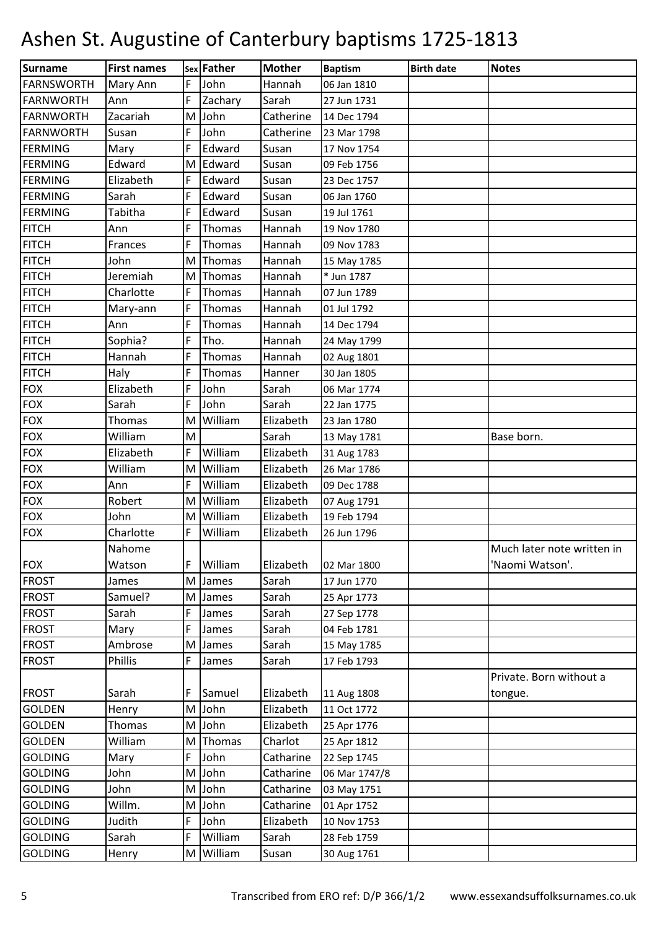| Surname           | <b>First names</b> |   | sex Father | <b>Mother</b> | <b>Baptism</b> | <b>Birth date</b> | <b>Notes</b>               |
|-------------------|--------------------|---|------------|---------------|----------------|-------------------|----------------------------|
| <b>FARNSWORTH</b> | Mary Ann           | F | John       | Hannah        | 06 Jan 1810    |                   |                            |
| <b>FARNWORTH</b>  | Ann                | F | Zachary    | Sarah         | 27 Jun 1731    |                   |                            |
| <b>FARNWORTH</b>  | Zacariah           | M | John       | Catherine     | 14 Dec 1794    |                   |                            |
| <b>FARNWORTH</b>  | Susan              | F | John       | Catherine     | 23 Mar 1798    |                   |                            |
| <b>FERMING</b>    | Mary               | F | Edward     | Susan         | 17 Nov 1754    |                   |                            |
| <b>FERMING</b>    | Edward             | M | Edward     | Susan         | 09 Feb 1756    |                   |                            |
| <b>FERMING</b>    | Elizabeth          | F | Edward     | Susan         | 23 Dec 1757    |                   |                            |
| FERMING           | Sarah              | F | Edward     | Susan         | 06 Jan 1760    |                   |                            |
| <b>FERMING</b>    | Tabitha            | F | Edward     | Susan         | 19 Jul 1761    |                   |                            |
| <b>FITCH</b>      | Ann                | F | Thomas     | Hannah        | 19 Nov 1780    |                   |                            |
| <b>FITCH</b>      | Frances            | F | Thomas     | Hannah        | 09 Nov 1783    |                   |                            |
| <b>FITCH</b>      | John               | M | Thomas     | Hannah        | 15 May 1785    |                   |                            |
| <b>FITCH</b>      | Jeremiah           | M | Thomas     | Hannah        | * Jun 1787     |                   |                            |
| <b>FITCH</b>      | Charlotte          | F | Thomas     | Hannah        | 07 Jun 1789    |                   |                            |
| <b>FITCH</b>      | Mary-ann           | F | Thomas     | Hannah        | 01 Jul 1792    |                   |                            |
| <b>FITCH</b>      | Ann                | F | Thomas     | Hannah        | 14 Dec 1794    |                   |                            |
| <b>FITCH</b>      | Sophia?            | F | Tho.       | Hannah        | 24 May 1799    |                   |                            |
| <b>FITCH</b>      | Hannah             | F | Thomas     | Hannah        | 02 Aug 1801    |                   |                            |
| <b>FITCH</b>      | Haly               | F | Thomas     | Hanner        | 30 Jan 1805    |                   |                            |
| <b>FOX</b>        | Elizabeth          | F | John       | Sarah         | 06 Mar 1774    |                   |                            |
| <b>FOX</b>        | Sarah              | F | John       | Sarah         | 22 Jan 1775    |                   |                            |
| <b>FOX</b>        | <b>Thomas</b>      | M | William    | Elizabeth     | 23 Jan 1780    |                   |                            |
| <b>FOX</b>        | William            | M |            | Sarah         | 13 May 1781    |                   | Base born.                 |
| <b>FOX</b>        | Elizabeth          | F | William    | Elizabeth     | 31 Aug 1783    |                   |                            |
| <b>FOX</b>        | William            | M | William    | Elizabeth     | 26 Mar 1786    |                   |                            |
| <b>FOX</b>        | Ann                | F | William    | Elizabeth     | 09 Dec 1788    |                   |                            |
| <b>FOX</b>        | Robert             | M | William    | Elizabeth     | 07 Aug 1791    |                   |                            |
| <b>FOX</b>        | John               | M | William    | Elizabeth     | 19 Feb 1794    |                   |                            |
| <b>FOX</b>        | Charlotte          | F | William    | Elizabeth     | 26 Jun 1796    |                   |                            |
|                   | Nahome             |   |            |               |                |                   | Much later note written in |
| <b>FOX</b>        | Watson             | F | William    | Elizabeth     | 02 Mar 1800    |                   | 'Naomi Watson'.            |
| <b>FROST</b>      | James              | M | James      | Sarah         | 17 Jun 1770    |                   |                            |
| <b>FROST</b>      | Samuel?            |   | M James    | Sarah         | 25 Apr 1773    |                   |                            |
| <b>FROST</b>      | Sarah              | F | James      | Sarah         | 27 Sep 1778    |                   |                            |
| <b>FROST</b>      | Mary               | F | James      | Sarah         | 04 Feb 1781    |                   |                            |
| <b>FROST</b>      | Ambrose            | M | James      | Sarah         | 15 May 1785    |                   |                            |
| <b>FROST</b>      | Phillis            | F | James      | Sarah         | 17 Feb 1793    |                   |                            |
|                   |                    |   |            |               |                |                   | Private. Born without a    |
| <b>FROST</b>      | Sarah              | F | Samuel     | Elizabeth     | 11 Aug 1808    |                   | tongue.                    |
| <b>GOLDEN</b>     | Henry              |   | M John     | Elizabeth     | 11 Oct 1772    |                   |                            |
| <b>GOLDEN</b>     | Thomas             | M | John       | Elizabeth     | 25 Apr 1776    |                   |                            |
| <b>GOLDEN</b>     | William            | M | Thomas     | Charlot       | 25 Apr 1812    |                   |                            |
| <b>GOLDING</b>    | Mary               | F | John       | Catharine     | 22 Sep 1745    |                   |                            |
| <b>GOLDING</b>    | John               |   | M John     | Catharine     | 06 Mar 1747/8  |                   |                            |
| <b>GOLDING</b>    | John               |   | M John     | Catharine     | 03 May 1751    |                   |                            |
| <b>GOLDING</b>    | Willm.             |   | M John     | Catharine     | 01 Apr 1752    |                   |                            |
| <b>GOLDING</b>    | Judith             | F | John       | Elizabeth     | 10 Nov 1753    |                   |                            |
| <b>GOLDING</b>    | Sarah              | F | William    | Sarah         | 28 Feb 1759    |                   |                            |
| <b>GOLDING</b>    | Henry              |   | M William  | Susan         | 30 Aug 1761    |                   |                            |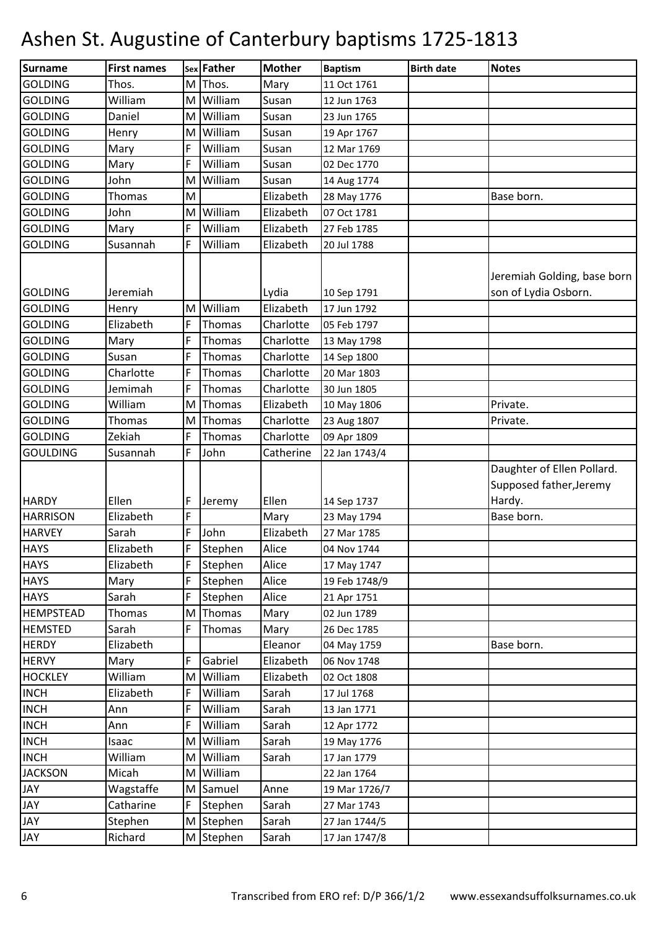| Surname          | <b>First names</b> |   | sex Father | <b>Mother</b> | <b>Baptism</b> | <b>Birth date</b> | <b>Notes</b>                                                    |
|------------------|--------------------|---|------------|---------------|----------------|-------------------|-----------------------------------------------------------------|
| <b>GOLDING</b>   | Thos.              | M | Thos.      | Mary          | 11 Oct 1761    |                   |                                                                 |
| <b>GOLDING</b>   | William            | M | William    | Susan         | 12 Jun 1763    |                   |                                                                 |
| <b>GOLDING</b>   | Daniel             | M | William    | Susan         | 23 Jun 1765    |                   |                                                                 |
| <b>GOLDING</b>   | Henry              | M | William    | Susan         | 19 Apr 1767    |                   |                                                                 |
| <b>GOLDING</b>   | Mary               | F | William    | Susan         | 12 Mar 1769    |                   |                                                                 |
| <b>GOLDING</b>   | Mary               | F | William    | Susan         | 02 Dec 1770    |                   |                                                                 |
| <b>GOLDING</b>   | John               | M | William    | Susan         | 14 Aug 1774    |                   |                                                                 |
| <b>GOLDING</b>   | Thomas             | M |            | Elizabeth     | 28 May 1776    |                   | Base born.                                                      |
| <b>GOLDING</b>   | John               | M | William    | Elizabeth     | 07 Oct 1781    |                   |                                                                 |
| <b>GOLDING</b>   | Mary               | F | William    | Elizabeth     | 27 Feb 1785    |                   |                                                                 |
| <b>GOLDING</b>   | Susannah           | F | William    | Elizabeth     | 20 Jul 1788    |                   |                                                                 |
| <b>GOLDING</b>   | Jeremiah           |   |            | Lydia         | 10 Sep 1791    |                   | Jeremiah Golding, base born<br>son of Lydia Osborn.             |
| <b>GOLDING</b>   | Henry              | M | William    | Elizabeth     | 17 Jun 1792    |                   |                                                                 |
| <b>GOLDING</b>   | Elizabeth          | F | Thomas     | Charlotte     | 05 Feb 1797    |                   |                                                                 |
| <b>GOLDING</b>   | Mary               | F | Thomas     | Charlotte     | 13 May 1798    |                   |                                                                 |
| <b>GOLDING</b>   | Susan              | F | Thomas     | Charlotte     | 14 Sep 1800    |                   |                                                                 |
| <b>GOLDING</b>   | Charlotte          | F | Thomas     | Charlotte     | 20 Mar 1803    |                   |                                                                 |
| <b>GOLDING</b>   | Jemimah            | F | Thomas     | Charlotte     | 30 Jun 1805    |                   |                                                                 |
| <b>GOLDING</b>   | William            | M | Thomas     | Elizabeth     | 10 May 1806    |                   | Private.                                                        |
| <b>GOLDING</b>   | Thomas             | M | Thomas     | Charlotte     | 23 Aug 1807    |                   | Private.                                                        |
| <b>GOLDING</b>   | Zekiah             | F | Thomas     | Charlotte     | 09 Apr 1809    |                   |                                                                 |
| <b>GOULDING</b>  | Susannah           | F | John       | Catherine     | 22 Jan 1743/4  |                   |                                                                 |
| <b>HARDY</b>     | Ellen              | F | Jeremy     | Ellen         | 14 Sep 1737    |                   | Daughter of Ellen Pollard.<br>Supposed father, Jeremy<br>Hardy. |
| <b>HARRISON</b>  | Elizabeth          | F |            | Mary          | 23 May 1794    |                   | Base born.                                                      |
| <b>HARVEY</b>    | Sarah              | F | John       | Elizabeth     | 27 Mar 1785    |                   |                                                                 |
| <b>HAYS</b>      | Elizabeth          | F | Stephen    | Alice         | 04 Nov 1744    |                   |                                                                 |
| <b>HAYS</b>      | Elizabeth          | F | Stephen    | Alice         | 17 May 1747    |                   |                                                                 |
| <b>HAYS</b>      | Mary               | F | Stephen    | Alice         | 19 Feb 1748/9  |                   |                                                                 |
| <b>HAYS</b>      | Sarah              | F | Stephen    | Alice         | 21 Apr 1751    |                   |                                                                 |
| <b>HEMPSTEAD</b> | Thomas             | M | Thomas     | Mary          | 02 Jun 1789    |                   |                                                                 |
| <b>HEMSTED</b>   | Sarah              | F | Thomas     | Mary          | 26 Dec 1785    |                   |                                                                 |
| <b>HERDY</b>     | Elizabeth          |   |            | Eleanor       | 04 May 1759    |                   | Base born.                                                      |
| <b>HERVY</b>     | Mary               | F | Gabriel    | Elizabeth     | 06 Nov 1748    |                   |                                                                 |
| <b>HOCKLEY</b>   | William            | M | William    | Elizabeth     | 02 Oct 1808    |                   |                                                                 |
| <b>INCH</b>      | Elizabeth          | F | William    | Sarah         | 17 Jul 1768    |                   |                                                                 |
| <b>INCH</b>      | Ann                | F | William    | Sarah         | 13 Jan 1771    |                   |                                                                 |
| <b>INCH</b>      | Ann                | F | William    | Sarah         | 12 Apr 1772    |                   |                                                                 |
| <b>INCH</b>      | Isaac              | M | William    | Sarah         | 19 May 1776    |                   |                                                                 |
| <b>INCH</b>      | William            |   | M William  | Sarah         | 17 Jan 1779    |                   |                                                                 |
| <b>JACKSON</b>   | Micah              |   | M William  |               | 22 Jan 1764    |                   |                                                                 |
| JAY              | Wagstaffe          |   | M Samuel   | Anne          | 19 Mar 1726/7  |                   |                                                                 |
| JAY              | Catharine          | F | Stephen    | Sarah         | 27 Mar 1743    |                   |                                                                 |
| JAY              | Stephen            | M | Stephen    | Sarah         | 27 Jan 1744/5  |                   |                                                                 |
| JAY              | Richard            |   | M Stephen  | Sarah         | 17 Jan 1747/8  |                   |                                                                 |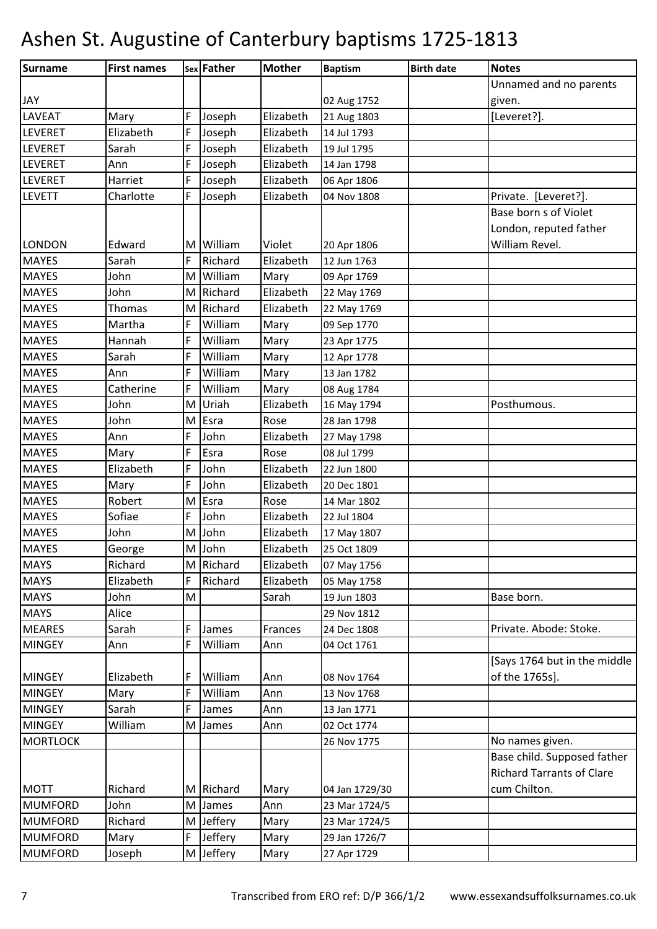| Surname         | <b>First names</b> |   | sex Father | <b>Mother</b> | <b>Baptism</b> | <b>Birth date</b> | <b>Notes</b>                     |
|-----------------|--------------------|---|------------|---------------|----------------|-------------------|----------------------------------|
|                 |                    |   |            |               |                |                   | Unnamed and no parents           |
| <b>JAY</b>      |                    |   |            |               | 02 Aug 1752    |                   | given.                           |
| <b>LAVEAT</b>   | Mary               | F | Joseph     | Elizabeth     | 21 Aug 1803    |                   | [Leveret?].                      |
| <b>LEVERET</b>  | Elizabeth          | F | Joseph     | Elizabeth     | 14 Jul 1793    |                   |                                  |
| LEVERET         | Sarah              | F | Joseph     | Elizabeth     | 19 Jul 1795    |                   |                                  |
| <b>LEVERET</b>  | Ann                | F | Joseph     | Elizabeth     | 14 Jan 1798    |                   |                                  |
| <b>LEVERET</b>  | Harriet            | F | Joseph     | Elizabeth     | 06 Apr 1806    |                   |                                  |
| <b>LEVETT</b>   | Charlotte          | F | Joseph     | Elizabeth     | 04 Nov 1808    |                   | Private. [Leveret?].             |
|                 |                    |   |            |               |                |                   | Base born s of Violet            |
|                 |                    |   |            |               |                |                   | London, reputed father           |
| <b>LONDON</b>   | Edward             | M | William    | Violet        | 20 Apr 1806    |                   | William Revel.                   |
| <b>MAYES</b>    | Sarah              | F | Richard    | Elizabeth     | 12 Jun 1763    |                   |                                  |
| <b>MAYES</b>    | John               | M | William    | Mary          | 09 Apr 1769    |                   |                                  |
| <b>MAYES</b>    | John               | M | Richard    | Elizabeth     | 22 May 1769    |                   |                                  |
| <b>MAYES</b>    | Thomas             | M | Richard    | Elizabeth     | 22 May 1769    |                   |                                  |
| <b>MAYES</b>    | Martha             | F | William    | Mary          | 09 Sep 1770    |                   |                                  |
| <b>MAYES</b>    | Hannah             | F | William    | Mary          | 23 Apr 1775    |                   |                                  |
| <b>MAYES</b>    | Sarah              | F | William    | Mary          | 12 Apr 1778    |                   |                                  |
| <b>MAYES</b>    | Ann                | F | William    | Mary          | 13 Jan 1782    |                   |                                  |
| <b>MAYES</b>    | Catherine          | F | William    | Mary          | 08 Aug 1784    |                   |                                  |
| <b>MAYES</b>    | John               | M | Uriah      | Elizabeth     | 16 May 1794    |                   | Posthumous.                      |
| <b>MAYES</b>    | John               | M | Esra       | Rose          | 28 Jan 1798    |                   |                                  |
| <b>MAYES</b>    | Ann                | F | John       | Elizabeth     | 27 May 1798    |                   |                                  |
| <b>MAYES</b>    | Mary               | F | Esra       | Rose          | 08 Jul 1799    |                   |                                  |
| <b>MAYES</b>    | Elizabeth          | F | John       | Elizabeth     | 22 Jun 1800    |                   |                                  |
| <b>MAYES</b>    | Mary               | F | John       | Elizabeth     | 20 Dec 1801    |                   |                                  |
| <b>MAYES</b>    | Robert             | M | Esra       | Rose          | 14 Mar 1802    |                   |                                  |
| <b>MAYES</b>    | Sofiae             | F | John       | Elizabeth     | 22 Jul 1804    |                   |                                  |
| <b>MAYES</b>    | John               | M | John       | Elizabeth     | 17 May 1807    |                   |                                  |
| <b>MAYES</b>    | George             |   | M John     | Elizabeth     | 25 Oct 1809    |                   |                                  |
| <b>MAYS</b>     | Richard            |   | M Richard  | Elizabeth     | 07 May 1756    |                   |                                  |
| <b>MAYS</b>     | Elizabeth          | F | Richard    | Elizabeth     | 05 May 1758    |                   |                                  |
| <b>MAYS</b>     | John               | M |            | Sarah         | 19 Jun 1803    |                   | Base born.                       |
| <b>MAYS</b>     | Alice              |   |            |               | 29 Nov 1812    |                   |                                  |
| <b>MEARES</b>   | Sarah              | F | James      | Frances       | 24 Dec 1808    |                   | Private. Abode: Stoke.           |
| <b>MINGEY</b>   | Ann                | F | William    | Ann           | 04 Oct 1761    |                   |                                  |
|                 |                    |   |            |               |                |                   | [Says 1764 but in the middle     |
| <b>MINGEY</b>   | Elizabeth          | F | William    | Ann           | 08 Nov 1764    |                   | of the 1765s].                   |
| <b>MINGEY</b>   | Mary               | F | William    | Ann           | 13 Nov 1768    |                   |                                  |
| <b>MINGEY</b>   | Sarah              | F | James      | Ann           | 13 Jan 1771    |                   |                                  |
| <b>MINGEY</b>   | William            | M | James      | Ann           | 02 Oct 1774    |                   |                                  |
| <b>MORTLOCK</b> |                    |   |            |               | 26 Nov 1775    |                   | No names given.                  |
|                 |                    |   |            |               |                |                   | Base child. Supposed father      |
|                 |                    |   |            |               |                |                   | <b>Richard Tarrants of Clare</b> |
| <b>MOTT</b>     | Richard            | M | Richard    | Mary          | 04 Jan 1729/30 |                   | cum Chilton.                     |
| <b>MUMFORD</b>  | John               | M | James      | Ann           | 23 Mar 1724/5  |                   |                                  |
| <b>MUMFORD</b>  | Richard            | M | Jeffery    | Mary          | 23 Mar 1724/5  |                   |                                  |
| <b>MUMFORD</b>  | Mary               | F | Jeffery    | Mary          | 29 Jan 1726/7  |                   |                                  |
| <b>MUMFORD</b>  | Joseph             |   | M Jeffery  | Mary          | 27 Apr 1729    |                   |                                  |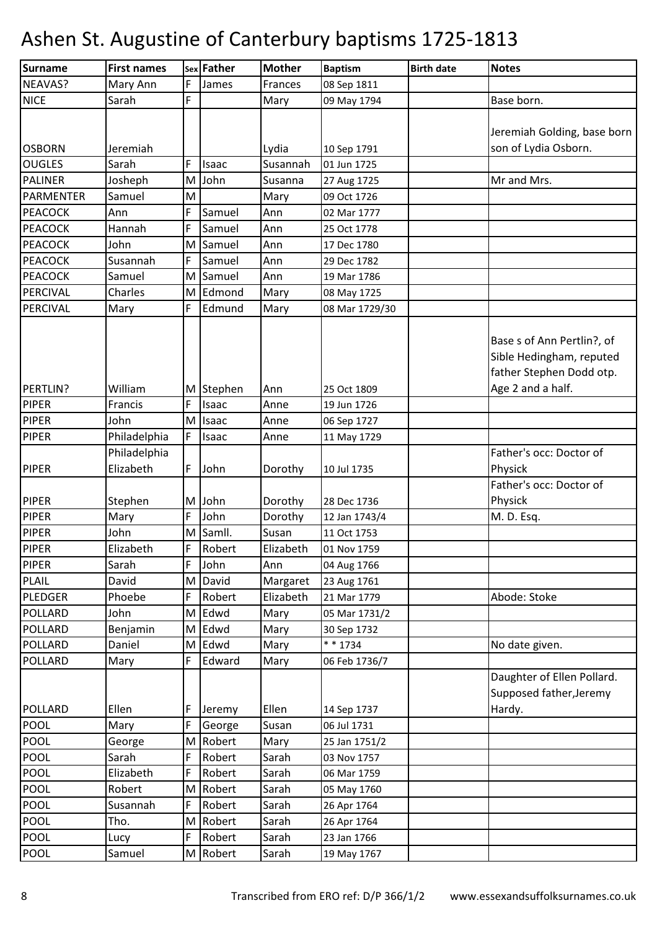| <b>Surname</b>   | <b>First names</b> |   | sex Father | <b>Mother</b> | <b>Baptism</b> | <b>Birth date</b> | <b>Notes</b>                                                                                            |
|------------------|--------------------|---|------------|---------------|----------------|-------------------|---------------------------------------------------------------------------------------------------------|
| NEAVAS?          | Mary Ann           | F | James      | Frances       | 08 Sep 1811    |                   |                                                                                                         |
| <b>NICE</b>      | Sarah              | F |            | Mary          | 09 May 1794    |                   | Base born.                                                                                              |
|                  |                    |   |            |               |                |                   |                                                                                                         |
|                  |                    |   |            |               |                |                   | Jeremiah Golding, base born                                                                             |
| <b>OSBORN</b>    | Jeremiah           |   |            | Lydia         | 10 Sep 1791    |                   | son of Lydia Osborn.                                                                                    |
| <b>OUGLES</b>    | Sarah              | F | Isaac      | Susannah      | 01 Jun 1725    |                   |                                                                                                         |
| <b>PALINER</b>   | Josheph            | M | John       | Susanna       | 27 Aug 1725    |                   | Mr and Mrs.                                                                                             |
| <b>PARMENTER</b> | Samuel             | M |            | Mary          | 09 Oct 1726    |                   |                                                                                                         |
| <b>PEACOCK</b>   | Ann                | F | Samuel     | Ann           | 02 Mar 1777    |                   |                                                                                                         |
| <b>PEACOCK</b>   | Hannah             | F | Samuel     | Ann           | 25 Oct 1778    |                   |                                                                                                         |
| <b>PEACOCK</b>   | John               | M | Samuel     | Ann           | 17 Dec 1780    |                   |                                                                                                         |
| <b>PEACOCK</b>   | Susannah           | F | Samuel     | Ann           | 29 Dec 1782    |                   |                                                                                                         |
| <b>PEACOCK</b>   | Samuel             | M | Samuel     | Ann           | 19 Mar 1786    |                   |                                                                                                         |
| PERCIVAL         | Charles            |   | M Edmond   | Mary          | 08 May 1725    |                   |                                                                                                         |
| PERCIVAL         | Mary               | F | Edmund     | Mary          | 08 Mar 1729/30 |                   |                                                                                                         |
| PERTLIN?         | William            | M | Stephen    | Ann           | 25 Oct 1809    |                   | Base s of Ann Pertlin?, of<br>Sible Hedingham, reputed<br>father Stephen Dodd otp.<br>Age 2 and a half. |
| <b>PIPER</b>     | Francis            | F | Isaac      | Anne          | 19 Jun 1726    |                   |                                                                                                         |
| <b>PIPER</b>     | John               | M | Isaac      | Anne          | 06 Sep 1727    |                   |                                                                                                         |
| <b>PIPER</b>     | Philadelphia       | F | Isaac      | Anne          | 11 May 1729    |                   |                                                                                                         |
|                  | Philadelphia       |   |            |               |                |                   | Father's occ: Doctor of                                                                                 |
| <b>PIPER</b>     | Elizabeth          | F | John       | Dorothy       | 10 Jul 1735    |                   | Physick                                                                                                 |
|                  |                    |   |            |               |                |                   | Father's occ: Doctor of                                                                                 |
| <b>PIPER</b>     | Stephen            |   | M John     | Dorothy       | 28 Dec 1736    |                   | Physick                                                                                                 |
| <b>PIPER</b>     | Mary               | F | John       | Dorothy       | 12 Jan 1743/4  |                   | M. D. Esq.                                                                                              |
| <b>PIPER</b>     | John               | M | Samll.     | Susan         | 11 Oct 1753    |                   |                                                                                                         |
| PIPER            | Elizabeth          | F | Robert     | Elizabeth     | 01 Nov 1759    |                   |                                                                                                         |
| <b>PIPER</b>     | Sarah              | F | John       | Ann           | 04 Aug 1766    |                   |                                                                                                         |
| <b>PLAIL</b>     | David              |   | M David    | Margaret      | 23 Aug 1761    |                   |                                                                                                         |
| <b>PLEDGER</b>   | Phoebe             | F | Robert     | Elizabeth     | 21 Mar 1779    |                   | Abode: Stoke                                                                                            |
| <b>POLLARD</b>   | John               |   | M Edwd     | Mary          | 05 Mar 1731/2  |                   |                                                                                                         |
| POLLARD          | Benjamin           |   | M Edwd     | Mary          | 30 Sep 1732    |                   |                                                                                                         |
| <b>POLLARD</b>   | Daniel             |   | M Edwd     | Mary          | * * 1734       |                   | No date given.                                                                                          |
| <b>POLLARD</b>   | Mary               | F | Edward     | Mary          | 06 Feb 1736/7  |                   |                                                                                                         |
| <b>POLLARD</b>   | Ellen              | F | Jeremy     | Ellen         | 14 Sep 1737    |                   | Daughter of Ellen Pollard.<br>Supposed father, Jeremy<br>Hardy.                                         |
| <b>POOL</b>      | Mary               | F | George     | Susan         | 06 Jul 1731    |                   |                                                                                                         |
| <b>POOL</b>      | George             | M | Robert     | Mary          | 25 Jan 1751/2  |                   |                                                                                                         |
| <b>POOL</b>      | Sarah              | F | Robert     | Sarah         | 03 Nov 1757    |                   |                                                                                                         |
| <b>POOL</b>      | Elizabeth          | F | Robert     | Sarah         | 06 Mar 1759    |                   |                                                                                                         |
| POOL             | Robert             |   | M Robert   | Sarah         | 05 May 1760    |                   |                                                                                                         |
| POOL             | Susannah           | F | Robert     | Sarah         | 26 Apr 1764    |                   |                                                                                                         |
| <b>POOL</b>      | Tho.               |   | M Robert   | Sarah         | 26 Apr 1764    |                   |                                                                                                         |
| <b>POOL</b>      | Lucy               | F | Robert     | Sarah         | 23 Jan 1766    |                   |                                                                                                         |
| <b>POOL</b>      | Samuel             |   | M Robert   | Sarah         | 19 May 1767    |                   |                                                                                                         |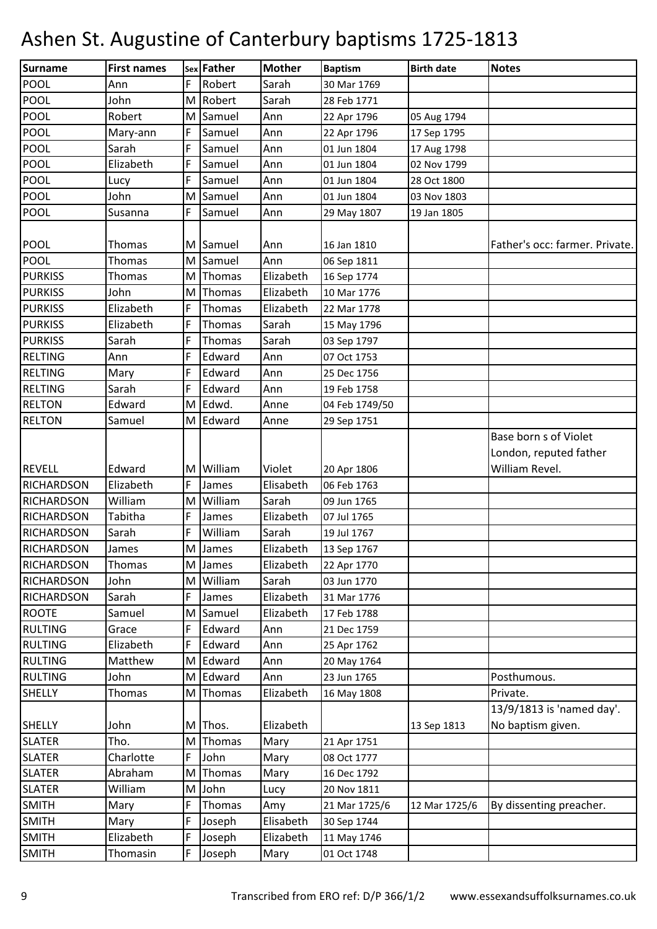| <b>Surname</b>    | <b>First names</b> |   | sex Father | <b>Mother</b> | <b>Baptism</b> | <b>Birth date</b> | <b>Notes</b>                   |
|-------------------|--------------------|---|------------|---------------|----------------|-------------------|--------------------------------|
| <b>POOL</b>       | Ann                | F | Robert     | Sarah         | 30 Mar 1769    |                   |                                |
| POOL              | John               | M | Robert     | Sarah         | 28 Feb 1771    |                   |                                |
| <b>POOL</b>       | Robert             | M | Samuel     | Ann           | 22 Apr 1796    | 05 Aug 1794       |                                |
| POOL              | Mary-ann           | F | Samuel     | Ann           | 22 Apr 1796    | 17 Sep 1795       |                                |
| POOL              | Sarah              | F | Samuel     | Ann           | 01 Jun 1804    | 17 Aug 1798       |                                |
| <b>POOL</b>       | Elizabeth          | F | Samuel     | Ann           | 01 Jun 1804    | 02 Nov 1799       |                                |
| <b>POOL</b>       | Lucy               | F | Samuel     | Ann           | 01 Jun 1804    | 28 Oct 1800       |                                |
| <b>POOL</b>       | John               | M | Samuel     | Ann           | 01 Jun 1804    | 03 Nov 1803       |                                |
| POOL              | Susanna            | F | Samuel     | Ann           | 29 May 1807    | 19 Jan 1805       |                                |
|                   |                    |   |            |               |                |                   |                                |
| <b>POOL</b>       | Thomas             | M | Samuel     | Ann           | 16 Jan 1810    |                   | Father's occ: farmer. Private. |
| <b>POOL</b>       | Thomas             | M | Samuel     | Ann           | 06 Sep 1811    |                   |                                |
| <b>PURKISS</b>    | Thomas             | M | Thomas     | Elizabeth     | 16 Sep 1774    |                   |                                |
| <b>PURKISS</b>    | John               | M | Thomas     | Elizabeth     | 10 Mar 1776    |                   |                                |
| <b>PURKISS</b>    | Elizabeth          | F | Thomas     | Elizabeth     | 22 Mar 1778    |                   |                                |
| <b>PURKISS</b>    | Elizabeth          | F | Thomas     | Sarah         | 15 May 1796    |                   |                                |
| <b>PURKISS</b>    | Sarah              | F | Thomas     | Sarah         | 03 Sep 1797    |                   |                                |
| <b>RELTING</b>    | Ann                | F | Edward     | Ann           | 07 Oct 1753    |                   |                                |
| <b>RELTING</b>    | Mary               | F | Edward     | Ann           | 25 Dec 1756    |                   |                                |
| <b>RELTING</b>    | Sarah              | F | Edward     | Ann           | 19 Feb 1758    |                   |                                |
| <b>RELTON</b>     | Edward             | M | Edwd.      | Anne          | 04 Feb 1749/50 |                   |                                |
| <b>RELTON</b>     | Samuel             | M | Edward     | Anne          | 29 Sep 1751    |                   |                                |
|                   |                    |   |            |               |                |                   | Base born s of Violet          |
|                   |                    |   |            |               |                |                   | London, reputed father         |
| <b>REVELL</b>     | Edward             | M | William    | Violet        | 20 Apr 1806    |                   | William Revel.                 |
| <b>RICHARDSON</b> | Elizabeth          | F | James      | Elisabeth     | 06 Feb 1763    |                   |                                |
| <b>RICHARDSON</b> | William            | M | William    | Sarah         | 09 Jun 1765    |                   |                                |
| <b>RICHARDSON</b> | Tabitha            | F | James      | Elizabeth     | 07 Jul 1765    |                   |                                |
| <b>RICHARDSON</b> | Sarah              | F | William    | Sarah         | 19 Jul 1767    |                   |                                |
| <b>RICHARDSON</b> | James              |   | M James    | Elizabeth     | 13 Sep 1767    |                   |                                |
| <b>RICHARDSON</b> | Thomas             |   | M James    | Elizabeth     | 22 Apr 1770    |                   |                                |
| <b>RICHARDSON</b> | John               | M | William    | Sarah         | 03 Jun 1770    |                   |                                |
| <b>RICHARDSON</b> | Sarah              | F | James      | Elizabeth     | 31 Mar 1776    |                   |                                |
| <b>ROOTE</b>      | Samuel             | M | Samuel     | Elizabeth     | 17 Feb 1788    |                   |                                |
| <b>RULTING</b>    | Grace              | F | Edward     | Ann           | 21 Dec 1759    |                   |                                |
| <b>RULTING</b>    | Elizabeth          | F | Edward     | Ann           | 25 Apr 1762    |                   |                                |
| <b>RULTING</b>    | Matthew            | M | Edward     | Ann           | 20 May 1764    |                   |                                |
| <b>RULTING</b>    | John               | M | Edward     | Ann           | 23 Jun 1765    |                   | Posthumous.                    |
| <b>SHELLY</b>     | Thomas             | M | Thomas     | Elizabeth     | 16 May 1808    |                   | Private.                       |
|                   |                    |   |            |               |                |                   | 13/9/1813 is 'named day'.      |
| <b>SHELLY</b>     | John               | M | Thos.      | Elizabeth     |                | 13 Sep 1813       | No baptism given.              |
| <b>SLATER</b>     | Tho.               | M | Thomas     | Mary          | 21 Apr 1751    |                   |                                |
| <b>SLATER</b>     | Charlotte          | F | John       | Mary          | 08 Oct 1777    |                   |                                |
| <b>SLATER</b>     | Abraham            | M | Thomas     | Mary          | 16 Dec 1792    |                   |                                |
| <b>SLATER</b>     | William            | M | John       | Lucy          | 20 Nov 1811    |                   |                                |
| <b>SMITH</b>      | Mary               | F | Thomas     | Amy           | 21 Mar 1725/6  | 12 Mar 1725/6     | By dissenting preacher.        |
| <b>SMITH</b>      | Mary               | F | Joseph     | Elisabeth     | 30 Sep 1744    |                   |                                |
| <b>SMITH</b>      | Elizabeth          | F | Joseph     | Elizabeth     | 11 May 1746    |                   |                                |
| <b>SMITH</b>      | Thomasin           | F | Joseph     | Mary          | 01 Oct 1748    |                   |                                |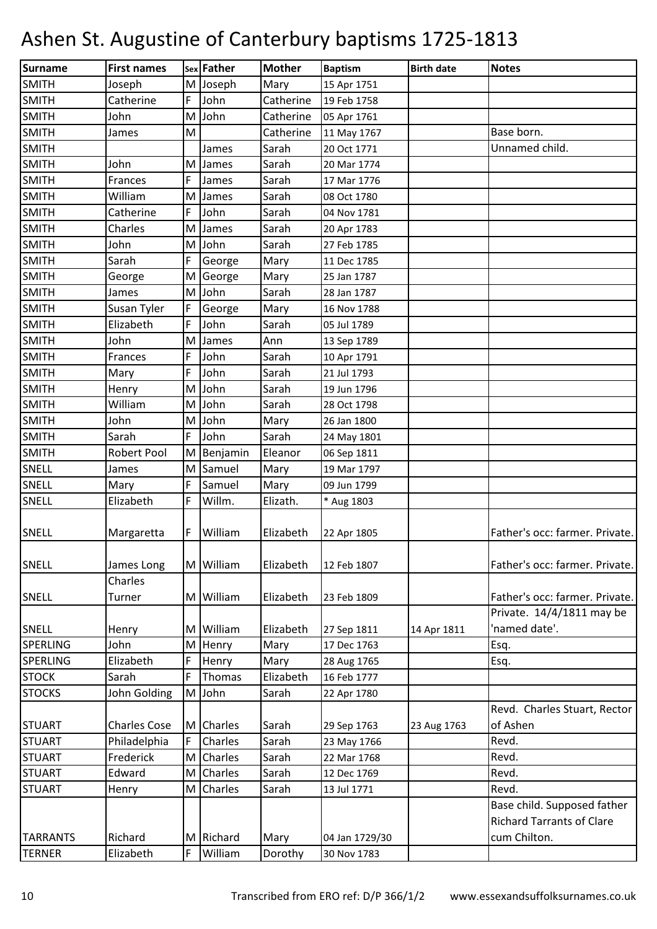| Surname         | <b>First names</b>        |        | sex Father                | <b>Mother</b>  | <b>Baptism</b> | <b>Birth date</b> | <b>Notes</b>                                                    |
|-----------------|---------------------------|--------|---------------------------|----------------|----------------|-------------------|-----------------------------------------------------------------|
| <b>SMITH</b>    | Joseph                    | M      | Joseph                    | Mary           | 15 Apr 1751    |                   |                                                                 |
| <b>SMITH</b>    | Catherine                 | F      | John                      | Catherine      | 19 Feb 1758    |                   |                                                                 |
| <b>SMITH</b>    | John                      | M      | John                      | Catherine      | 05 Apr 1761    |                   |                                                                 |
| <b>SMITH</b>    | James                     | M      |                           | Catherine      | 11 May 1767    |                   | Base born.                                                      |
| <b>SMITH</b>    |                           |        | James                     | Sarah          | 20 Oct 1771    |                   | Unnamed child.                                                  |
| <b>SMITH</b>    | John                      | M      | James                     | Sarah          | 20 Mar 1774    |                   |                                                                 |
| <b>SMITH</b>    | Frances                   | F      | James                     | Sarah          | 17 Mar 1776    |                   |                                                                 |
| <b>SMITH</b>    | William                   | M      | James                     | Sarah          | 08 Oct 1780    |                   |                                                                 |
| <b>SMITH</b>    | Catherine                 | F      | John                      | Sarah          | 04 Nov 1781    |                   |                                                                 |
| <b>SMITH</b>    | Charles                   | M      | James                     | Sarah          | 20 Apr 1783    |                   |                                                                 |
| <b>SMITH</b>    | John                      | M      | John                      | Sarah          | 27 Feb 1785    |                   |                                                                 |
| <b>SMITH</b>    | Sarah                     | F      | George                    | Mary           | 11 Dec 1785    |                   |                                                                 |
| <b>SMITH</b>    | George                    | M      | George                    | Mary           | 25 Jan 1787    |                   |                                                                 |
| <b>SMITH</b>    | James                     | M      | John                      | Sarah          | 28 Jan 1787    |                   |                                                                 |
| <b>SMITH</b>    | Susan Tyler               | F      | George                    | Mary           | 16 Nov 1788    |                   |                                                                 |
| <b>SMITH</b>    | Elizabeth                 | F      | John                      | Sarah          | 05 Jul 1789    |                   |                                                                 |
| <b>SMITH</b>    | John                      | M      | James                     | Ann            | 13 Sep 1789    |                   |                                                                 |
| <b>SMITH</b>    | Frances                   | F      | John                      | Sarah          | 10 Apr 1791    |                   |                                                                 |
| <b>SMITH</b>    | Mary                      | F      | John                      | Sarah          | 21 Jul 1793    |                   |                                                                 |
| <b>SMITH</b>    | Henry                     | M      | John                      | Sarah          | 19 Jun 1796    |                   |                                                                 |
| <b>SMITH</b>    | William                   | M      | John                      | Sarah          | 28 Oct 1798    |                   |                                                                 |
| <b>SMITH</b>    | John                      | M      | John                      | Mary           | 26 Jan 1800    |                   |                                                                 |
| <b>SMITH</b>    | Sarah                     | F      | John                      | Sarah          | 24 May 1801    |                   |                                                                 |
| <b>SMITH</b>    | <b>Robert Pool</b>        | M      | Benjamin                  | Eleanor        | 06 Sep 1811    |                   |                                                                 |
| <b>SNELL</b>    | James                     | M      | Samuel                    | Mary           | 19 Mar 1797    |                   |                                                                 |
| SNELL           | Mary                      | F      | Samuel                    | Mary           | 09 Jun 1799    |                   |                                                                 |
| <b>SNELL</b>    | Elizabeth                 | F      | Willm.                    | Elizath.       | * Aug 1803     |                   |                                                                 |
|                 |                           |        |                           |                |                |                   |                                                                 |
| SNELL           | Margaretta                | F      | William                   | Elizabeth      | 22 Apr 1805    |                   | Father's occ: farmer. Private.                                  |
|                 |                           |        |                           |                |                |                   |                                                                 |
| <b>SNELL</b>    | James Long                |        | M William                 | Elizabeth      | 12 Feb 1807    |                   | Father's occ: farmer. Private.                                  |
|                 | Charles                   |        |                           |                |                |                   |                                                                 |
| <b>SNELL</b>    | Turner                    | M      | William                   | Elizabeth      | 23 Feb 1809    |                   | Father's occ: farmer. Private.                                  |
|                 |                           |        |                           |                |                |                   | Private. 14/4/1811 may be                                       |
| <b>SNELL</b>    | Henry                     | M      | William                   | Elizabeth      | 27 Sep 1811    | 14 Apr 1811       | 'named date'.                                                   |
| <b>SPERLING</b> | John                      | M      | Henry                     | Mary           | 17 Dec 1763    |                   | Esq.                                                            |
| SPERLING        | Elizabeth                 | F      | Henry                     | Mary           | 28 Aug 1765    |                   | Esq.                                                            |
| <b>STOCK</b>    | Sarah                     | F      | Thomas                    | Elizabeth      | 16 Feb 1777    |                   |                                                                 |
| <b>STOCKS</b>   | John Golding              | M      | John                      | Sarah          | 22 Apr 1780    |                   |                                                                 |
|                 | <b>Charles Cose</b>       |        |                           |                |                |                   | Revd. Charles Stuart, Rector<br>of Ashen                        |
| <b>STUART</b>   |                           | M<br>F | <b>Charles</b><br>Charles | Sarah<br>Sarah | 29 Sep 1763    | 23 Aug 1763       |                                                                 |
| <b>STUART</b>   | Philadelphia<br>Frederick |        |                           |                | 23 May 1766    |                   | Revd.                                                           |
| <b>STUART</b>   |                           | M      | Charles                   | Sarah          | 22 Mar 1768    |                   | Revd.                                                           |
| <b>STUART</b>   | Edward                    | M      | Charles                   | Sarah          | 12 Dec 1769    |                   | Revd.                                                           |
| <b>STUART</b>   | Henry                     | M      | Charles                   | Sarah          | 13 Jul 1771    |                   | Revd.                                                           |
|                 |                           |        |                           |                |                |                   | Base child. Supposed father<br><b>Richard Tarrants of Clare</b> |
|                 | Richard                   |        |                           |                |                |                   |                                                                 |
| <b>TARRANTS</b> |                           | M      | Richard                   | Mary           | 04 Jan 1729/30 |                   | cum Chilton.                                                    |
| <b>TERNER</b>   | Elizabeth                 | F      | William                   | Dorothy        | 30 Nov 1783    |                   |                                                                 |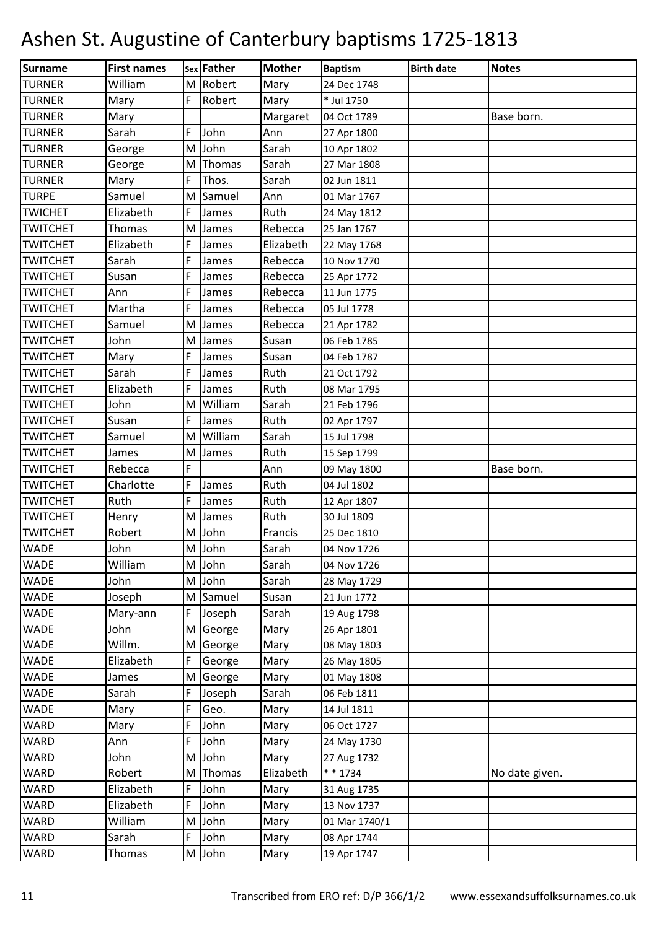| Surname         | <b>First names</b> |   | sex Father | <b>Mother</b> | <b>Baptism</b> | <b>Birth date</b> | <b>Notes</b>   |
|-----------------|--------------------|---|------------|---------------|----------------|-------------------|----------------|
| <b>TURNER</b>   | William            |   | M Robert   | Mary          | 24 Dec 1748    |                   |                |
| <b>TURNER</b>   | Mary               | F | Robert     | Mary          | * Jul 1750     |                   |                |
| <b>TURNER</b>   | Mary               |   |            | Margaret      | 04 Oct 1789    |                   | Base born.     |
| <b>TURNER</b>   | Sarah              | F | John       | Ann           | 27 Apr 1800    |                   |                |
| <b>TURNER</b>   | George             | M | John       | Sarah         | 10 Apr 1802    |                   |                |
| <b>TURNER</b>   | George             | M | Thomas     | Sarah         | 27 Mar 1808    |                   |                |
| <b>TURNER</b>   | Mary               | F | Thos.      | Sarah         | 02 Jun 1811    |                   |                |
| <b>TURPE</b>    | Samuel             | M | Samuel     | Ann           | 01 Mar 1767    |                   |                |
| <b>TWICHET</b>  | Elizabeth          | F | James      | Ruth          | 24 May 1812    |                   |                |
| <b>TWITCHET</b> | Thomas             | M | James      | Rebecca       | 25 Jan 1767    |                   |                |
| <b>TWITCHET</b> | Elizabeth          | F | James      | Elizabeth     | 22 May 1768    |                   |                |
| <b>TWITCHET</b> | Sarah              | F | James      | Rebecca       | 10 Nov 1770    |                   |                |
| <b>TWITCHET</b> | Susan              | F | James      | Rebecca       | 25 Apr 1772    |                   |                |
| <b>TWITCHET</b> | Ann                | F | James      | Rebecca       | 11 Jun 1775    |                   |                |
| <b>TWITCHET</b> | Martha             | F | James      | Rebecca       | 05 Jul 1778    |                   |                |
| <b>TWITCHET</b> | Samuel             | M | James      | Rebecca       | 21 Apr 1782    |                   |                |
| <b>TWITCHET</b> | John               | M | James      | Susan         | 06 Feb 1785    |                   |                |
| <b>TWITCHET</b> | Mary               | F | James      | Susan         | 04 Feb 1787    |                   |                |
| <b>TWITCHET</b> | Sarah              | F | James      | Ruth          | 21 Oct 1792    |                   |                |
| <b>TWITCHET</b> | Elizabeth          | F | James      | Ruth          | 08 Mar 1795    |                   |                |
| <b>TWITCHET</b> | John               | M | William    | Sarah         | 21 Feb 1796    |                   |                |
| <b>TWITCHET</b> | Susan              | F | James      | Ruth          | 02 Apr 1797    |                   |                |
| <b>TWITCHET</b> | Samuel             | M | William    | Sarah         | 15 Jul 1798    |                   |                |
| <b>TWITCHET</b> | James              | M | James      | Ruth          | 15 Sep 1799    |                   |                |
| <b>TWITCHET</b> | Rebecca            | F |            | Ann           | 09 May 1800    |                   | Base born.     |
| <b>TWITCHET</b> | Charlotte          | F | James      | Ruth          | 04 Jul 1802    |                   |                |
| <b>TWITCHET</b> | Ruth               | F | James      | Ruth          | 12 Apr 1807    |                   |                |
| <b>TWITCHET</b> | Henry              | M | James      | Ruth          | 30 Jul 1809    |                   |                |
| <b>TWITCHET</b> | Robert             | M | John       | Francis       | 25 Dec 1810    |                   |                |
| <b>WADE</b>     | John               |   | M John     | Sarah         | 04 Nov 1726    |                   |                |
| <b>WADE</b>     | William            |   | M John     | Sarah         | 04 Nov 1726    |                   |                |
| <b>WADE</b>     | John               | M | John       | Sarah         | 28 May 1729    |                   |                |
| <b>WADE</b>     | Joseph             | M | Samuel     | Susan         | 21 Jun 1772    |                   |                |
| <b>WADE</b>     | Mary-ann           | F | Joseph     | Sarah         | 19 Aug 1798    |                   |                |
| <b>WADE</b>     | John               | M | George     | Mary          | 26 Apr 1801    |                   |                |
| <b>WADE</b>     | Willm.             | M | George     | Mary          | 08 May 1803    |                   |                |
| <b>WADE</b>     | Elizabeth          | F | George     | Mary          | 26 May 1805    |                   |                |
| <b>WADE</b>     | James              | M | George     | Mary          | 01 May 1808    |                   |                |
| <b>WADE</b>     | Sarah              | F | Joseph     | Sarah         | 06 Feb 1811    |                   |                |
| <b>WADE</b>     | Mary               | F | Geo.       | Mary          | 14 Jul 1811    |                   |                |
| <b>WARD</b>     | Mary               | F | John       | Mary          | 06 Oct 1727    |                   |                |
| <b>WARD</b>     | Ann                | F | John       | Mary          | 24 May 1730    |                   |                |
| <b>WARD</b>     | John               | M | John       | Mary          | 27 Aug 1732    |                   |                |
| <b>WARD</b>     | Robert             | M | Thomas     | Elizabeth     | * * 1734       |                   | No date given. |
| <b>WARD</b>     | Elizabeth          | F | John       | Mary          | 31 Aug 1735    |                   |                |
| <b>WARD</b>     | Elizabeth          | F | John       | Mary          | 13 Nov 1737    |                   |                |
| <b>WARD</b>     | William            | M | John       | Mary          | 01 Mar 1740/1  |                   |                |
| <b>WARD</b>     | Sarah              | F | John       | Mary          | 08 Apr 1744    |                   |                |
| <b>WARD</b>     | Thomas             |   | M John     | Mary          | 19 Apr 1747    |                   |                |